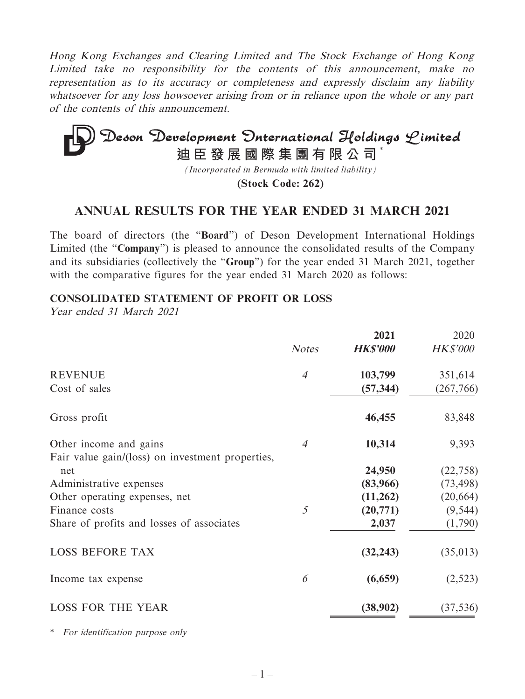Hong Kong Exchanges and Clearing Limited and The Stock Exchange of Hong Kong Limited take no responsibility for the contents of this announcement, make no representation as to its accuracy or completeness and expressly disclaim any liability whatsoever for any loss howsoever arising from or in reliance upon the whole or any part of the contents of this announcement.

# Deson Development Onternational Holdings Limited **迪臣發展國際集團有限公司** \*

*(Incorporated in Bermuda with limited liability)*

**(Stock Code: 262)**

## **ANNUAL RESULTS FOR THE YEAR ENDED 31 MARCH 2021**

The board of directors (the "**Board**") of Deson Development International Holdings Limited (the "**Company**") is pleased to announce the consolidated results of the Company and its subsidiaries (collectively the "**Group**") for the year ended 31 March 2021, together with the comparative figures for the year ended 31 March 2020 as follows:

#### **CONSOLIDATED STATEMENT OF PROFIT OR LOSS**

Year ended 31 March 2021

|                                                  | <b>Notes</b>   | 2021<br><b>HK\$'000</b> | 2020<br><b>HK\$'000</b> |
|--------------------------------------------------|----------------|-------------------------|-------------------------|
| <b>REVENUE</b>                                   | $\overline{4}$ | 103,799                 | 351,614                 |
| Cost of sales                                    |                | (57, 344)               | (267, 766)              |
| Gross profit                                     |                | 46,455                  | 83,848                  |
| Other income and gains                           | $\overline{4}$ | 10,314                  | 9,393                   |
| Fair value gain/(loss) on investment properties, |                |                         |                         |
| net                                              |                | 24,950                  | (22, 758)               |
| Administrative expenses                          |                | (83,966)                | (73, 498)               |
| Other operating expenses, net                    |                | (11,262)                | (20, 664)               |
| Finance costs                                    | 5              | (20,771)                | (9, 544)                |
| Share of profits and losses of associates        |                | 2,037                   | (1,790)                 |
| <b>LOSS BEFORE TAX</b>                           |                | (32, 243)               | (35, 013)               |
| Income tax expense                               | 6              | (6,659)                 | (2, 523)                |
| <b>LOSS FOR THE YEAR</b>                         |                | (38,902)                | (37, 536)               |

\* For identification purpose only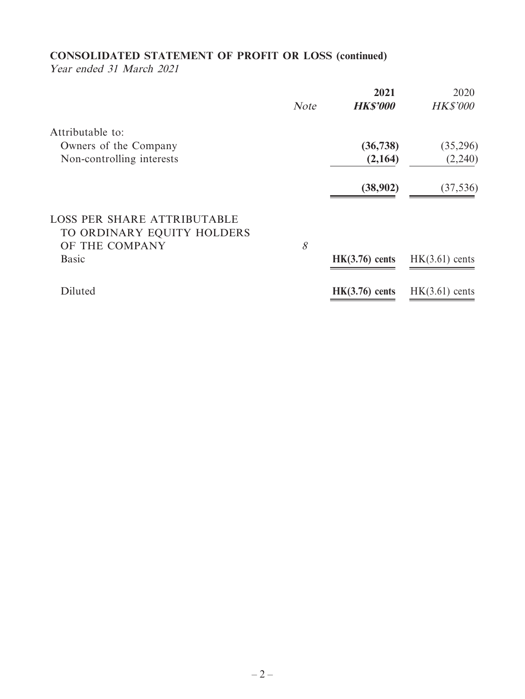## **CONSOLIDATED STATEMENT OF PROFIT OR LOSS (continued)**

Year ended 31 March 2021

|                                                                  | <b>Note</b>  | 2021<br><b>HK\$'000</b> | 2020<br><b>HK\$'000</b> |
|------------------------------------------------------------------|--------------|-------------------------|-------------------------|
| Attributable to:                                                 |              |                         |                         |
| Owners of the Company                                            |              | (36, 738)               | (35,296)                |
| Non-controlling interests                                        |              | (2,164)                 | (2,240)                 |
|                                                                  |              | (38,902)                | (37, 536)               |
| <b>LOSS PER SHARE ATTRIBUTABLE</b><br>TO ORDINARY EQUITY HOLDERS |              |                         |                         |
| OF THE COMPANY                                                   | $\mathcal S$ |                         |                         |
| <b>Basic</b>                                                     |              | $HK(3.76)$ cents        | $HK(3.61)$ cents        |
| Diluted                                                          |              | $HK(3.76)$ cents        | $HK(3.61)$ cents        |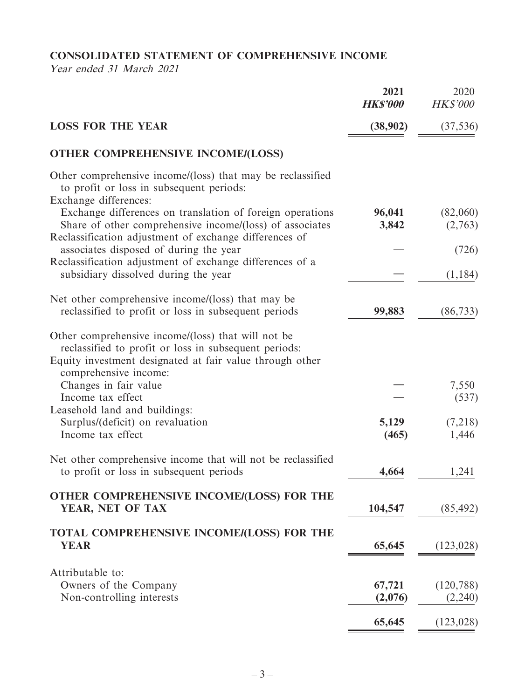**CONSOLIDATED STATEMENT OF COMPREHENSIVE INCOME**

Year ended 31 March 2021

|                                                                                                                                                                                                  | 2021<br><b>HK\$'000</b> | 2020<br><b>HK\$'000</b> |
|--------------------------------------------------------------------------------------------------------------------------------------------------------------------------------------------------|-------------------------|-------------------------|
| <b>LOSS FOR THE YEAR</b>                                                                                                                                                                         | (38,902)                | (37, 536)               |
| <b>OTHER COMPREHENSIVE INCOME/(LOSS)</b>                                                                                                                                                         |                         |                         |
| Other comprehensive income/(loss) that may be reclassified<br>to profit or loss in subsequent periods:<br>Exchange differences:                                                                  |                         |                         |
| Exchange differences on translation of foreign operations<br>Share of other comprehensive income/(loss) of associates                                                                            | 96,041<br>3,842         | (82,060)<br>(2,763)     |
| Reclassification adjustment of exchange differences of<br>associates disposed of during the year<br>Reclassification adjustment of exchange differences of a                                     |                         | (726)                   |
| subsidiary dissolved during the year                                                                                                                                                             |                         | (1, 184)                |
| Net other comprehensive income/(loss) that may be<br>reclassified to profit or loss in subsequent periods                                                                                        | 99,883                  | (86, 733)               |
| Other comprehensive income/(loss) that will not be<br>reclassified to profit or loss in subsequent periods:<br>Equity investment designated at fair value through other<br>comprehensive income: |                         |                         |
| Changes in fair value<br>Income tax effect                                                                                                                                                       |                         | 7,550<br>(537)          |
| Leasehold land and buildings:<br>Surplus/(deficit) on revaluation<br>Income tax effect                                                                                                           | 5,129<br>(465)          | (7,218)<br>1,446        |
| Net other comprehensive income that will not be reclassified<br>to profit or loss in subsequent periods                                                                                          | 4,664                   | 1,241                   |
| OTHER COMPREHENSIVE INCOME/(LOSS) FOR THE<br>YEAR, NET OF TAX                                                                                                                                    | 104,547                 | (85, 492)               |
| TOTAL COMPREHENSIVE INCOME/(LOSS) FOR THE<br><b>YEAR</b>                                                                                                                                         | 65,645                  | (123, 028)              |
| Attributable to:<br>Owners of the Company<br>Non-controlling interests                                                                                                                           | 67,721<br>(2,076)       | (120, 788)<br>(2,240)   |
|                                                                                                                                                                                                  | 65,645                  | (123, 028)              |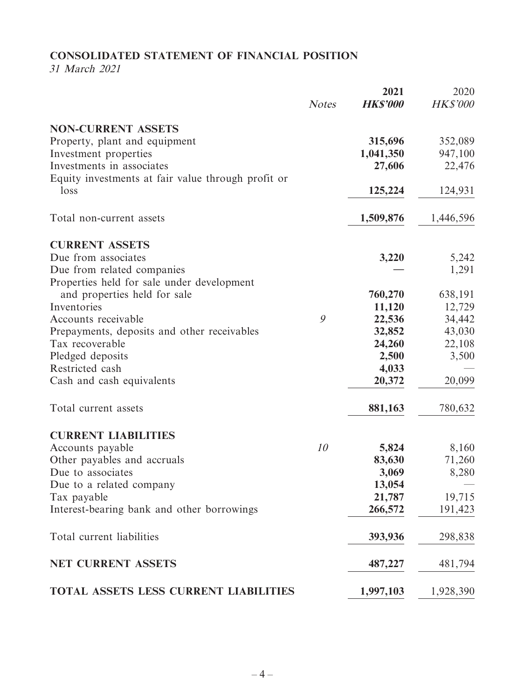## **CONSOLIDATED STATEMENT OF FINANCIAL POSITION**

31 March 2021

|                                                                          | <b>Notes</b> | 2021<br><b>HK\$'000</b> | 2020<br><b>HK\$'000</b> |
|--------------------------------------------------------------------------|--------------|-------------------------|-------------------------|
|                                                                          |              |                         |                         |
| <b>NON-CURRENT ASSETS</b>                                                |              |                         |                         |
| Property, plant and equipment                                            |              | 315,696                 | 352,089                 |
| Investment properties                                                    |              | 1,041,350               | 947,100                 |
| Investments in associates                                                |              | 27,606                  | 22,476                  |
| Equity investments at fair value through profit or                       |              |                         |                         |
| loss                                                                     |              | 125,224                 | 124,931                 |
| Total non-current assets                                                 |              | 1,509,876               | 1,446,596               |
|                                                                          |              |                         |                         |
| <b>CURRENT ASSETS</b>                                                    |              |                         |                         |
| Due from associates                                                      |              | 3,220                   | 5,242                   |
| Due from related companies<br>Properties held for sale under development |              |                         | 1,291                   |
| and properties held for sale                                             |              | 760,270                 | 638,191                 |
| Inventories                                                              |              | 11,120                  | 12,729                  |
| Accounts receivable                                                      | 9            | 22,536                  | 34,442                  |
| Prepayments, deposits and other receivables                              |              | 32,852                  | 43,030                  |
| Tax recoverable                                                          |              | 24,260                  | 22,108                  |
| Pledged deposits                                                         |              | 2,500                   | 3,500                   |
| Restricted cash                                                          |              | 4,033                   |                         |
| Cash and cash equivalents                                                |              | 20,372                  | 20,099                  |
| Total current assets                                                     |              | 881,163                 | 780,632                 |
| <b>CURRENT LIABILITIES</b>                                               |              |                         |                         |
| Accounts payable                                                         | 10           | 5,824                   | 8,160                   |
| Other payables and accruals                                              |              | 83,630                  | 71,260                  |
| Due to associates                                                        |              | 3,069                   | 8,280                   |
| Due to a related company                                                 |              | 13,054                  |                         |
| Tax payable                                                              |              | 21,787                  | 19,715                  |
| Interest-bearing bank and other borrowings                               |              | 266,572                 | 191,423                 |
| Total current liabilities                                                |              | 393,936                 | 298,838                 |
| <b>NET CURRENT ASSETS</b>                                                |              | 487,227                 | 481,794                 |
| TOTAL ASSETS LESS CURRENT LIABILITIES                                    |              | 1,997,103               | 1,928,390               |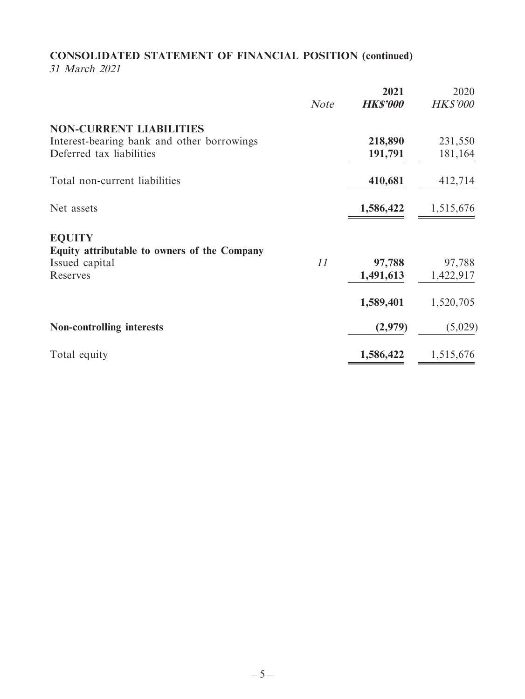# **CONSOLIDATED STATEMENT OF FINANCIAL POSITION (continued)**

31 March 2021

|                                              | <b>Note</b> | 2021<br><b>HK\$'000</b> | 2020<br><b>HK\$'000</b> |
|----------------------------------------------|-------------|-------------------------|-------------------------|
| <b>NON-CURRENT LIABILITIES</b>               |             |                         |                         |
| Interest-bearing bank and other borrowings   |             | 218,890                 | 231,550                 |
| Deferred tax liabilities                     |             | 191,791                 | 181,164                 |
| Total non-current liabilities                |             | 410,681                 | 412,714                 |
| Net assets                                   |             | 1,586,422               | 1,515,676               |
| <b>EQUITY</b>                                |             |                         |                         |
| Equity attributable to owners of the Company |             |                         |                         |
| Issued capital                               | 11          | 97,788                  | 97,788                  |
| Reserves                                     |             | 1,491,613               | 1,422,917               |
|                                              |             | 1,589,401               | 1,520,705               |
| <b>Non-controlling interests</b>             |             | (2,979)                 | (5,029)                 |
| Total equity                                 |             | 1,586,422               | 1,515,676               |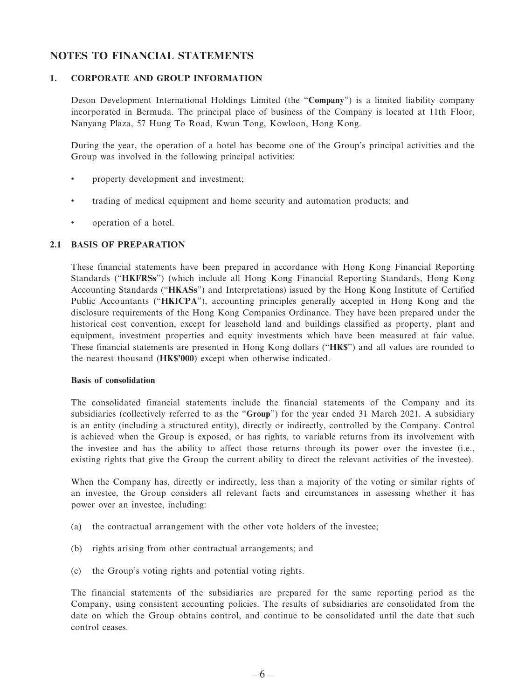#### **NOTES TO FINANCIAL STATEMENTS**

#### **1. CORPORATE AND GROUP INFORMATION**

Deson Development International Holdings Limited (the "**Company**") is a limited liability company incorporated in Bermuda. The principal place of business of the Company is located at 11th Floor, Nanyang Plaza, 57 Hung To Road, Kwun Tong, Kowloon, Hong Kong.

During the year, the operation of a hotel has become one of the Group's principal activities and the Group was involved in the following principal activities:

- property development and investment;
- trading of medical equipment and home security and automation products; and
- operation of a hotel.

#### **2.1 BASIS OF PREPARATION**

These financial statements have been prepared in accordance with Hong Kong Financial Reporting Standards ("**HKFRSs**") (which include all Hong Kong Financial Reporting Standards, Hong Kong Accounting Standards ("**HKASs**") and Interpretations) issued by the Hong Kong Institute of Certified Public Accountants ("**HKICPA**"), accounting principles generally accepted in Hong Kong and the disclosure requirements of the Hong Kong Companies Ordinance. They have been prepared under the historical cost convention, except for leasehold land and buildings classified as property, plant and equipment, investment properties and equity investments which have been measured at fair value. These financial statements are presented in Hong Kong dollars ("**HK\$**") and all values are rounded to the nearest thousand (**HK\$'000**) except when otherwise indicated.

#### **Basis of consolidation**

The consolidated financial statements include the financial statements of the Company and its subsidiaries (collectively referred to as the "**Group**") for the year ended 31 March 2021. A subsidiary is an entity (including a structured entity), directly or indirectly, controlled by the Company. Control is achieved when the Group is exposed, or has rights, to variable returns from its involvement with the investee and has the ability to affect those returns through its power over the investee (i.e., existing rights that give the Group the current ability to direct the relevant activities of the investee).

When the Company has, directly or indirectly, less than a majority of the voting or similar rights of an investee, the Group considers all relevant facts and circumstances in assessing whether it has power over an investee, including:

- (a) the contractual arrangement with the other vote holders of the investee;
- (b) rights arising from other contractual arrangements; and
- (c) the Group's voting rights and potential voting rights.

The financial statements of the subsidiaries are prepared for the same reporting period as the Company, using consistent accounting policies. The results of subsidiaries are consolidated from the date on which the Group obtains control, and continue to be consolidated until the date that such control ceases.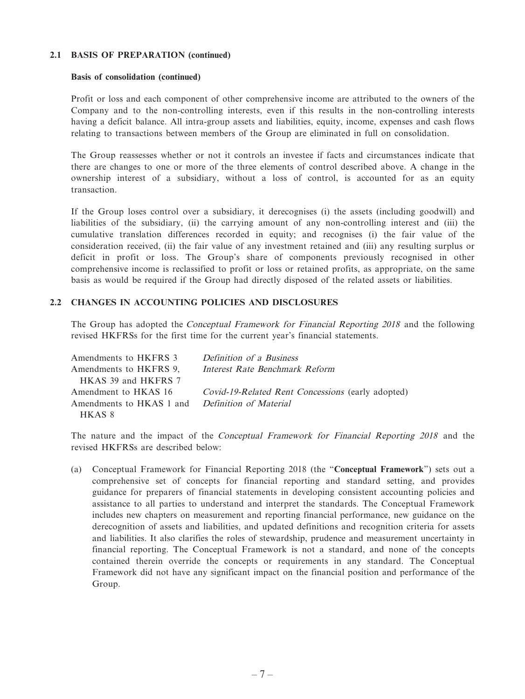#### **2.1 BASIS OF PREPARATION (continued)**

#### **Basis of consolidation (continued)**

Profit or loss and each component of other comprehensive income are attributed to the owners of the Company and to the non-controlling interests, even if this results in the non-controlling interests having a deficit balance. All intra-group assets and liabilities, equity, income, expenses and cash flows relating to transactions between members of the Group are eliminated in full on consolidation.

The Group reassesses whether or not it controls an investee if facts and circumstances indicate that there are changes to one or more of the three elements of control described above. A change in the ownership interest of a subsidiary, without a loss of control, is accounted for as an equity transaction.

If the Group loses control over a subsidiary, it derecognises (i) the assets (including goodwill) and liabilities of the subsidiary, (ii) the carrying amount of any non-controlling interest and (iii) the cumulative translation differences recorded in equity; and recognises (i) the fair value of the consideration received, (ii) the fair value of any investment retained and (iii) any resulting surplus or deficit in profit or loss. The Group's share of components previously recognised in other comprehensive income is reclassified to profit or loss or retained profits, as appropriate, on the same basis as would be required if the Group had directly disposed of the related assets or liabilities.

#### **2.2 CHANGES IN ACCOUNTING POLICIES AND DISCLOSURES**

The Group has adopted the Conceptual Framework for Financial Reporting 2018 and the following revised HKFRSs for the first time for the current year's financial statements.

| Amendments to HKFRS 3                           | Definition of a Business                          |
|-------------------------------------------------|---------------------------------------------------|
| Amendments to HKFRS 9,                          | Interest Rate Benchmark Reform                    |
| HKAS 39 and HKFRS 7                             |                                                   |
| Amendment to HKAS 16                            | Covid-19-Related Rent Concessions (early adopted) |
| Amendments to HKAS 1 and Definition of Material |                                                   |
| HKAS 8                                          |                                                   |

The nature and the impact of the Conceptual Framework for Financial Reporting 2018 and the revised HKFRSs are described below:

(a) Conceptual Framework for Financial Reporting 2018 (the "**Conceptual Framework**") sets out a comprehensive set of concepts for financial reporting and standard setting, and provides guidance for preparers of financial statements in developing consistent accounting policies and assistance to all parties to understand and interpret the standards. The Conceptual Framework includes new chapters on measurement and reporting financial performance, new guidance on the derecognition of assets and liabilities, and updated definitions and recognition criteria for assets and liabilities. It also clarifies the roles of stewardship, prudence and measurement uncertainty in financial reporting. The Conceptual Framework is not a standard, and none of the concepts contained therein override the concepts or requirements in any standard. The Conceptual Framework did not have any significant impact on the financial position and performance of the Group.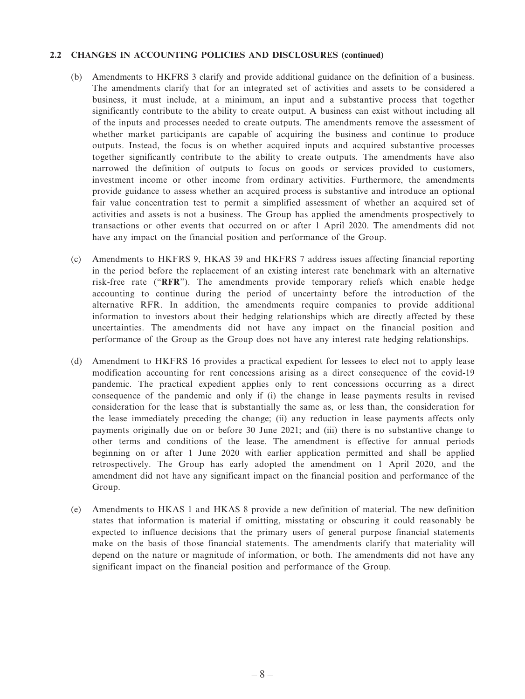#### **2.2 CHANGES IN ACCOUNTING POLICIES AND DISCLOSURES (continued)**

- (b) Amendments to HKFRS 3 clarify and provide additional guidance on the definition of a business. The amendments clarify that for an integrated set of activities and assets to be considered a business, it must include, at a minimum, an input and a substantive process that together significantly contribute to the ability to create output. A business can exist without including all of the inputs and processes needed to create outputs. The amendments remove the assessment of whether market participants are capable of acquiring the business and continue to produce outputs. Instead, the focus is on whether acquired inputs and acquired substantive processes together significantly contribute to the ability to create outputs. The amendments have also narrowed the definition of outputs to focus on goods or services provided to customers, investment income or other income from ordinary activities. Furthermore, the amendments provide guidance to assess whether an acquired process is substantive and introduce an optional fair value concentration test to permit a simplified assessment of whether an acquired set of activities and assets is not a business. The Group has applied the amendments prospectively to transactions or other events that occurred on or after 1 April 2020. The amendments did not have any impact on the financial position and performance of the Group.
- (c) Amendments to HKFRS 9, HKAS 39 and HKFRS 7 address issues affecting financial reporting in the period before the replacement of an existing interest rate benchmark with an alternative risk-free rate ("**RFR**"). The amendments provide temporary reliefs which enable hedge accounting to continue during the period of uncertainty before the introduction of the alternative RFR. In addition, the amendments require companies to provide additional information to investors about their hedging relationships which are directly affected by these uncertainties. The amendments did not have any impact on the financial position and performance of the Group as the Group does not have any interest rate hedging relationships.
- (d) Amendment to HKFRS 16 provides a practical expedient for lessees to elect not to apply lease modification accounting for rent concessions arising as a direct consequence of the covid-19 pandemic. The practical expedient applies only to rent concessions occurring as a direct consequence of the pandemic and only if (i) the change in lease payments results in revised consideration for the lease that is substantially the same as, or less than, the consideration for the lease immediately preceding the change; (ii) any reduction in lease payments affects only payments originally due on or before 30 June 2021; and (iii) there is no substantive change to other terms and conditions of the lease. The amendment is effective for annual periods beginning on or after 1 June 2020 with earlier application permitted and shall be applied retrospectively. The Group has early adopted the amendment on 1 April 2020, and the amendment did not have any significant impact on the financial position and performance of the Group.
- (e) Amendments to HKAS 1 and HKAS 8 provide a new definition of material. The new definition states that information is material if omitting, misstating or obscuring it could reasonably be expected to influence decisions that the primary users of general purpose financial statements make on the basis of those financial statements. The amendments clarify that materiality will depend on the nature or magnitude of information, or both. The amendments did not have any significant impact on the financial position and performance of the Group.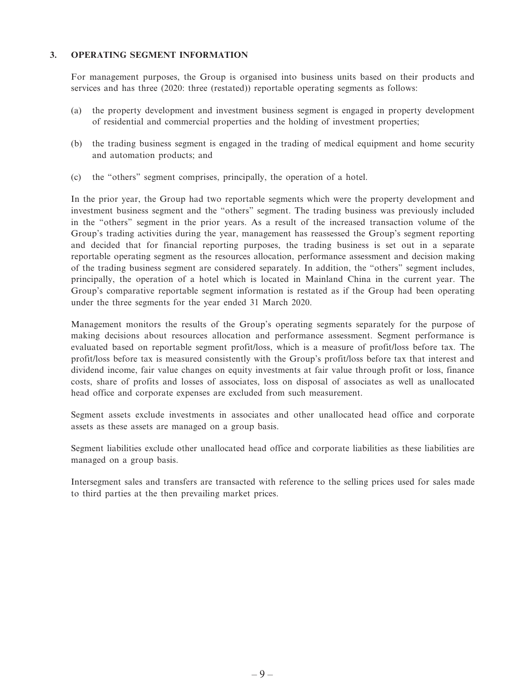#### **3. OPERATING SEGMENT INFORMATION**

For management purposes, the Group is organised into business units based on their products and services and has three (2020: three (restated)) reportable operating segments as follows:

- (a) the property development and investment business segment is engaged in property development of residential and commercial properties and the holding of investment properties;
- (b) the trading business segment is engaged in the trading of medical equipment and home security and automation products; and
- (c) the "others" segment comprises, principally, the operation of a hotel.

In the prior year, the Group had two reportable segments which were the property development and investment business segment and the "others" segment. The trading business was previously included in the "others" segment in the prior years. As a result of the increased transaction volume of the Group's trading activities during the year, management has reassessed the Group's segment reporting and decided that for financial reporting purposes, the trading business is set out in a separate reportable operating segment as the resources allocation, performance assessment and decision making of the trading business segment are considered separately. In addition, the "others" segment includes, principally, the operation of a hotel which is located in Mainland China in the current year. The Group's comparative reportable segment information is restated as if the Group had been operating under the three segments for the year ended 31 March 2020.

Management monitors the results of the Group's operating segments separately for the purpose of making decisions about resources allocation and performance assessment. Segment performance is evaluated based on reportable segment profit/loss, which is a measure of profit/loss before tax. The profit/loss before tax is measured consistently with the Group's profit/loss before tax that interest and dividend income, fair value changes on equity investments at fair value through profit or loss, finance costs, share of profits and losses of associates, loss on disposal of associates as well as unallocated head office and corporate expenses are excluded from such measurement.

Segment assets exclude investments in associates and other unallocated head office and corporate assets as these assets are managed on a group basis.

Segment liabilities exclude other unallocated head office and corporate liabilities as these liabilities are managed on a group basis.

Intersegment sales and transfers are transacted with reference to the selling prices used for sales made to third parties at the then prevailing market prices.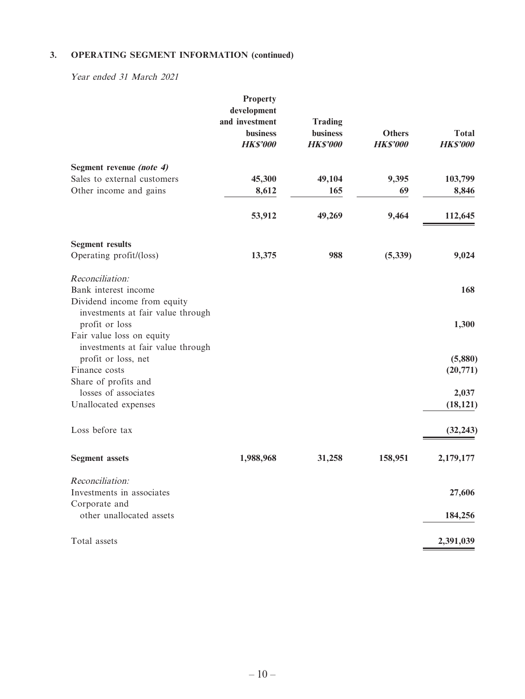Year ended 31 March 2021

| <b>Property</b><br>development<br>and investment<br><b>business</b><br><b>HK\$'000</b> | <b>Trading</b><br><b>business</b><br><b>HK\$'000</b> | <b>Others</b><br><b>HK\$'000</b> | <b>Total</b><br><b>HK\$'000</b> |
|----------------------------------------------------------------------------------------|------------------------------------------------------|----------------------------------|---------------------------------|
|                                                                                        |                                                      |                                  |                                 |
| 45,300                                                                                 | 49,104                                               | 9,395                            | 103,799                         |
| 8,612                                                                                  | 165                                                  | 69                               | 8,846                           |
| 53,912                                                                                 | 49,269                                               | 9,464                            | 112,645                         |
|                                                                                        |                                                      |                                  |                                 |
| 13,375                                                                                 | 988                                                  | (5, 339)                         | 9,024                           |
|                                                                                        |                                                      |                                  |                                 |
|                                                                                        |                                                      |                                  | 168                             |
|                                                                                        |                                                      |                                  |                                 |
|                                                                                        |                                                      |                                  |                                 |
|                                                                                        |                                                      |                                  | 1,300                           |
|                                                                                        |                                                      |                                  |                                 |
|                                                                                        |                                                      |                                  | (5,880)                         |
|                                                                                        |                                                      |                                  | (20,771)                        |
|                                                                                        |                                                      |                                  |                                 |
|                                                                                        |                                                      |                                  | 2,037                           |
|                                                                                        |                                                      |                                  | (18, 121)                       |
|                                                                                        |                                                      |                                  |                                 |
|                                                                                        |                                                      |                                  | (32, 243)                       |
|                                                                                        |                                                      |                                  |                                 |
| 1,988,968                                                                              | 31,258                                               | 158,951                          | 2,179,177                       |
|                                                                                        |                                                      |                                  |                                 |
|                                                                                        |                                                      |                                  | 27,606                          |
|                                                                                        |                                                      |                                  |                                 |
|                                                                                        |                                                      |                                  | 184,256                         |
|                                                                                        |                                                      |                                  | 2,391,039                       |
| investments at fair value through<br>investments at fair value through                 |                                                      |                                  |                                 |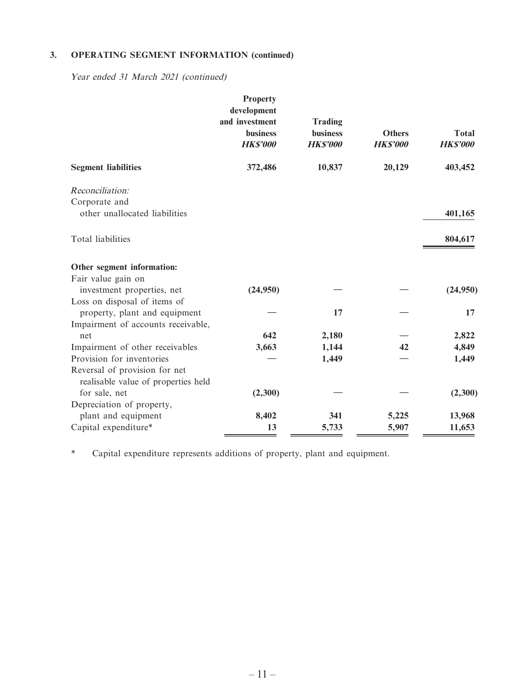Year ended 31 March 2021 (continued)

|                                     | <b>Property</b><br>development<br>and investment<br><b>business</b><br><b>HK\$'000</b> | <b>Trading</b><br><b>business</b><br><b>HK\$'000</b> | <b>Others</b><br><b>HK\$'000</b> | <b>Total</b><br><b>HK\$'000</b> |
|-------------------------------------|----------------------------------------------------------------------------------------|------------------------------------------------------|----------------------------------|---------------------------------|
| <b>Segment liabilities</b>          | 372,486                                                                                | 10,837                                               | 20,129                           | 403,452                         |
| Reconciliation:                     |                                                                                        |                                                      |                                  |                                 |
| Corporate and                       |                                                                                        |                                                      |                                  |                                 |
| other unallocated liabilities       |                                                                                        |                                                      |                                  | 401,165                         |
| Total liabilities                   |                                                                                        |                                                      |                                  | 804,617                         |
| Other segment information:          |                                                                                        |                                                      |                                  |                                 |
| Fair value gain on                  |                                                                                        |                                                      |                                  |                                 |
| investment properties, net          | (24,950)                                                                               |                                                      |                                  | (24,950)                        |
| Loss on disposal of items of        |                                                                                        |                                                      |                                  |                                 |
| property, plant and equipment       |                                                                                        | 17                                                   |                                  | 17                              |
| Impairment of accounts receivable,  |                                                                                        |                                                      |                                  |                                 |
| net                                 | 642                                                                                    | 2,180                                                |                                  | 2,822                           |
| Impairment of other receivables     | 3,663                                                                                  | 1,144                                                | 42                               | 4,849                           |
| Provision for inventories           |                                                                                        | 1,449                                                |                                  | 1,449                           |
| Reversal of provision for net       |                                                                                        |                                                      |                                  |                                 |
| realisable value of properties held |                                                                                        |                                                      |                                  |                                 |
| for sale, net                       | (2,300)                                                                                |                                                      |                                  | (2,300)                         |
| Depreciation of property,           |                                                                                        |                                                      |                                  |                                 |
| plant and equipment                 | 8,402                                                                                  | 341                                                  | 5,225                            | 13,968                          |
| Capital expenditure*                | 13                                                                                     | 5,733                                                | 5,907                            | 11,653                          |

\* Capital expenditure represents additions of property, plant and equipment.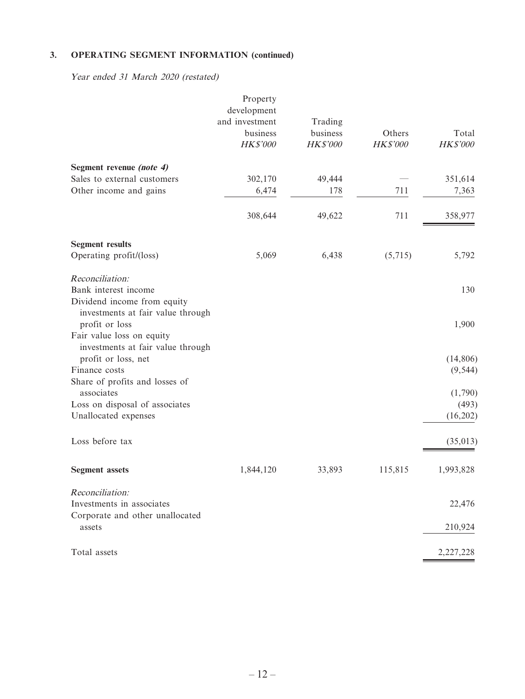Year ended 31 March 2020 (restated)

|                                                     | Property                      |                     |          |           |
|-----------------------------------------------------|-------------------------------|---------------------|----------|-----------|
|                                                     | development<br>and investment |                     |          |           |
|                                                     | business                      | Trading<br>business | Others   | Total     |
|                                                     | HK\$'000                      | HK\$'000            | HK\$'000 | HK\$'000  |
| Segment revenue (note 4)                            |                               |                     |          |           |
| Sales to external customers                         | 302,170                       | 49,444              |          | 351,614   |
| Other income and gains                              | 6,474                         | 178                 | 711      | 7,363     |
|                                                     | 308,644                       | 49,622              | 711      | 358,977   |
| <b>Segment results</b>                              |                               |                     |          |           |
| Operating profit/(loss)                             | 5,069                         | 6,438               | (5,715)  | 5,792     |
| Reconciliation:                                     |                               |                     |          |           |
| Bank interest income                                |                               |                     |          | 130       |
| Dividend income from equity                         |                               |                     |          |           |
| investments at fair value through<br>profit or loss |                               |                     |          | 1,900     |
| Fair value loss on equity                           |                               |                     |          |           |
| investments at fair value through                   |                               |                     |          |           |
| profit or loss, net                                 |                               |                     |          | (14, 806) |
| Finance costs                                       |                               |                     |          | (9, 544)  |
| Share of profits and losses of                      |                               |                     |          |           |
| associates                                          |                               |                     |          | (1,790)   |
| Loss on disposal of associates                      |                               |                     |          | (493)     |
| Unallocated expenses                                |                               |                     |          | (16,202)  |
| Loss before tax                                     |                               |                     |          | (35, 013) |
| <b>Segment</b> assets                               | 1,844,120                     | 33,893              | 115,815  | 1,993,828 |
|                                                     |                               |                     |          |           |
| Reconciliation:                                     |                               |                     |          |           |
| Investments in associates                           |                               |                     |          | 22,476    |
| Corporate and other unallocated<br>assets           |                               |                     |          | 210,924   |
| Total assets                                        |                               |                     |          | 2,227,228 |
|                                                     |                               |                     |          |           |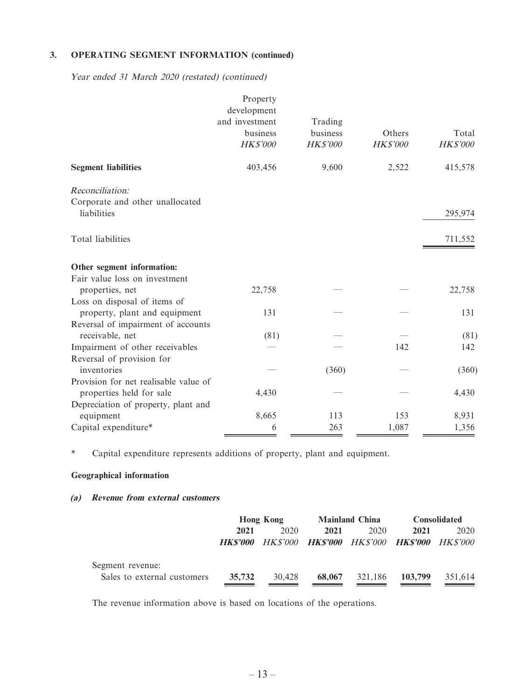Year ended 31 March 2020 (restated) (continued)

|                                       | Property                      |                     |          |          |
|---------------------------------------|-------------------------------|---------------------|----------|----------|
|                                       | development<br>and investment |                     |          |          |
|                                       | business                      | Trading<br>business | Others   | Total    |
|                                       | HK\$'000                      | HK\$'000            | HK\$'000 | HK\$'000 |
|                                       |                               |                     |          |          |
| <b>Segment liabilities</b>            | 403,456                       | 9,600               | 2,522    | 415,578  |
| Reconciliation:                       |                               |                     |          |          |
| Corporate and other unallocated       |                               |                     |          |          |
| liabilities                           |                               |                     |          | 295,974  |
| Total liabilities                     |                               |                     |          | 711,552  |
| Other segment information:            |                               |                     |          |          |
| Fair value loss on investment         |                               |                     |          |          |
| properties, net                       | 22,758                        |                     |          | 22,758   |
| Loss on disposal of items of          |                               |                     |          |          |
| property, plant and equipment         | 131                           |                     |          | 131      |
| Reversal of impairment of accounts    |                               |                     |          |          |
| receivable, net                       | (81)                          |                     |          | (81)     |
| Impairment of other receivables       |                               |                     | 142      | 142      |
| Reversal of provision for             |                               |                     |          |          |
| inventories                           |                               | (360)               |          | (360)    |
| Provision for net realisable value of |                               |                     |          |          |
| properties held for sale              | 4,430                         |                     |          | 4,430    |
| Depreciation of property, plant and   |                               |                     |          |          |
| equipment                             | 8,665                         | 113                 | 153      | 8,931    |
| Capital expenditure*                  | 6                             | 263                 | 1,087    | 1,356    |

\* Capital expenditure represents additions of property, plant and equipment.

#### **Geographical information**

#### **(a) Revenue from external customers**

|                             | <b>Hong Kong</b> |                        | <b>Mainland China</b> |                                               | <b>Consolidated</b> |         |
|-----------------------------|------------------|------------------------|-----------------------|-----------------------------------------------|---------------------|---------|
|                             | 2021             | 2020                   | 2021                  | 2020                                          | 2021                | 2020    |
|                             |                  | <b>HKS'000</b> HKS'000 |                       | <b>HKS'000</b> HKS'000 <b>HKS'000</b> HKS'000 |                     |         |
| Segment revenue:            |                  |                        |                       |                                               |                     |         |
| Sales to external customers | 35,732           | 30.428                 | 68,067                | 321.186                                       | 103,799             | 351.614 |

The revenue information above is based on locations of the operations.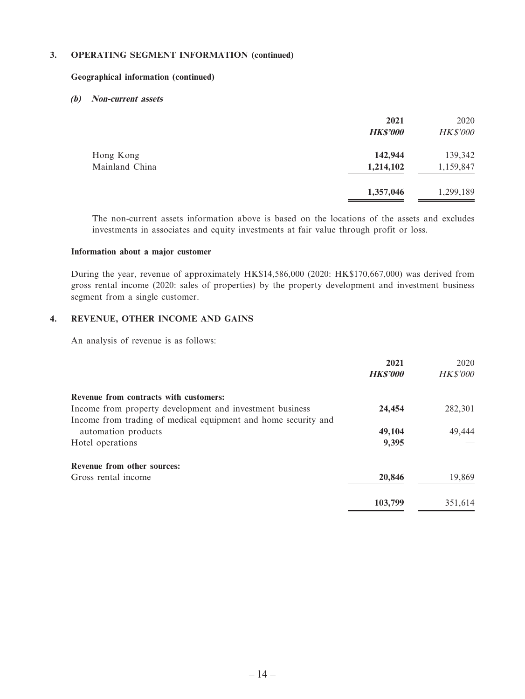#### **Geographical information (continued)**

#### **(b) Non-current assets**

|                | 2021<br><b>HK\$'000</b> | 2020<br><b>HK\$'000</b> |
|----------------|-------------------------|-------------------------|
| Hong Kong      | 142,944                 | 139,342                 |
| Mainland China | 1,214,102               | 1,159,847               |
|                | 1,357,046               | 1,299,189               |

The non-current assets information above is based on the locations of the assets and excludes investments in associates and equity investments at fair value through profit or loss.

#### **Information about a major customer**

During the year, revenue of approximately HK\$14,586,000 (2020: HK\$170,667,000) was derived from gross rental income (2020: sales of properties) by the property development and investment business segment from a single customer.

#### **4. REVENUE, OTHER INCOME AND GAINS**

An analysis of revenue is as follows:

|                                                                | 2021           | 2020            |
|----------------------------------------------------------------|----------------|-----------------|
|                                                                | <b>HKS'000</b> | <b>HK\$'000</b> |
| Revenue from contracts with customers:                         |                |                 |
| Income from property development and investment business       | 24,454         | 282,301         |
| Income from trading of medical equipment and home security and |                |                 |
| automation products                                            | 49,104         | 49,444          |
| Hotel operations                                               | 9,395          |                 |
| Revenue from other sources:                                    |                |                 |
| Gross rental income                                            | 20,846         | 19,869          |
|                                                                | 103,799        | 351.614         |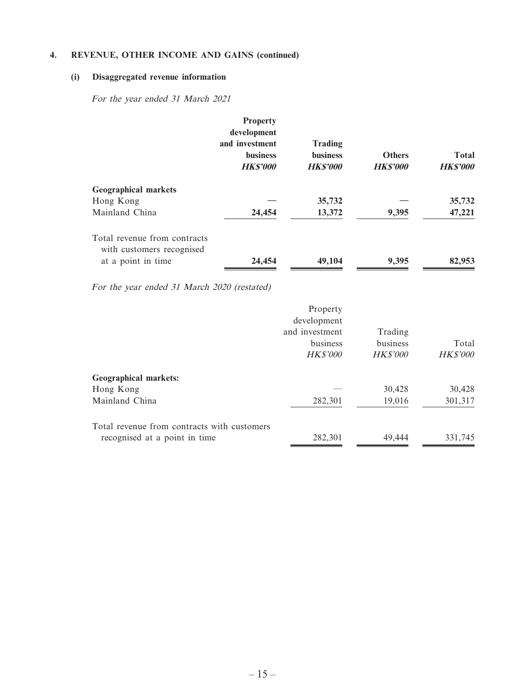#### **4. REVENUE, OTHER INCOME AND GAINS (continued)**

#### **(i) Disaggregated revenue information**

For the year ended 31 March 2021

|                                                           | <b>Property</b><br>development<br>and investment<br><b>business</b><br><b>HKS'000</b> | <b>Trading</b><br><b>business</b><br><b>HKS'000</b> | <b>Others</b><br><b>HK\$'000</b> | <b>Total</b><br><b>HK\$'000</b> |
|-----------------------------------------------------------|---------------------------------------------------------------------------------------|-----------------------------------------------------|----------------------------------|---------------------------------|
| <b>Geographical markets</b>                               |                                                                                       |                                                     |                                  |                                 |
| Hong Kong                                                 |                                                                                       | 35,732                                              |                                  | 35,732                          |
| Mainland China                                            | 24,454                                                                                | 13,372                                              | 9,395                            | 47,221                          |
| Total revenue from contracts<br>with customers recognised |                                                                                       |                                                     |                                  |                                 |
| at a point in time                                        | 24,454                                                                                | 49,104                                              | 9,395                            | 82,953                          |

For the year ended 31 March 2020 (restated)

|                                             | Property<br>development<br>and investment<br>business<br><b>HK\$'000</b> | Trading<br>business<br><b>HK\$'000</b> | Total<br><b>HK\$'000</b> |
|---------------------------------------------|--------------------------------------------------------------------------|----------------------------------------|--------------------------|
|                                             |                                                                          |                                        |                          |
| <b>Geographical markets:</b>                |                                                                          |                                        |                          |
| Hong Kong                                   |                                                                          | 30,428                                 | 30,428                   |
| Mainland China                              | 282,301                                                                  | 19,016                                 | 301,317                  |
| Total revenue from contracts with customers |                                                                          |                                        |                          |
| recognised at a point in time               | 282,301                                                                  | 49.444                                 | 331,745                  |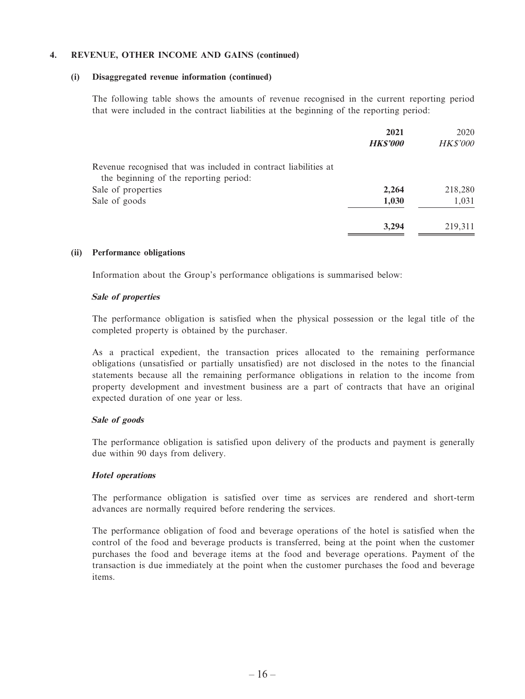#### **4. REVENUE, OTHER INCOME AND GAINS (continued)**

#### **(i) Disaggregated revenue information (continued)**

The following table shows the amounts of revenue recognised in the current reporting period that were included in the contract liabilities at the beginning of the reporting period:

|                                                                                                           | 2021           | 2020            |
|-----------------------------------------------------------------------------------------------------------|----------------|-----------------|
|                                                                                                           | <b>HKS'000</b> | <b>HK\$'000</b> |
| Revenue recognised that was included in contract liabilities at<br>the beginning of the reporting period: |                |                 |
| Sale of properties                                                                                        | 2,264          | 218,280         |
| Sale of goods                                                                                             | 1,030          | 1,031           |
|                                                                                                           | 3,294          | 219,311         |

#### **(ii) Performance obligations**

Information about the Group's performance obligations is summarised below:

#### **Sale of properties**

The performance obligation is satisfied when the physical possession or the legal title of the completed property is obtained by the purchaser.

As a practical expedient, the transaction prices allocated to the remaining performance obligations (unsatisfied or partially unsatisfied) are not disclosed in the notes to the financial statements because all the remaining performance obligations in relation to the income from property development and investment business are a part of contracts that have an original expected duration of one year or less.

#### **Sale of goods**

The performance obligation is satisfied upon delivery of the products and payment is generally due within 90 days from delivery.

#### **Hotel operations**

The performance obligation is satisfied over time as services are rendered and short-term advances are normally required before rendering the services.

The performance obligation of food and beverage operations of the hotel is satisfied when the control of the food and beverage products is transferred, being at the point when the customer purchases the food and beverage items at the food and beverage operations. Payment of the transaction is due immediately at the point when the customer purchases the food and beverage items.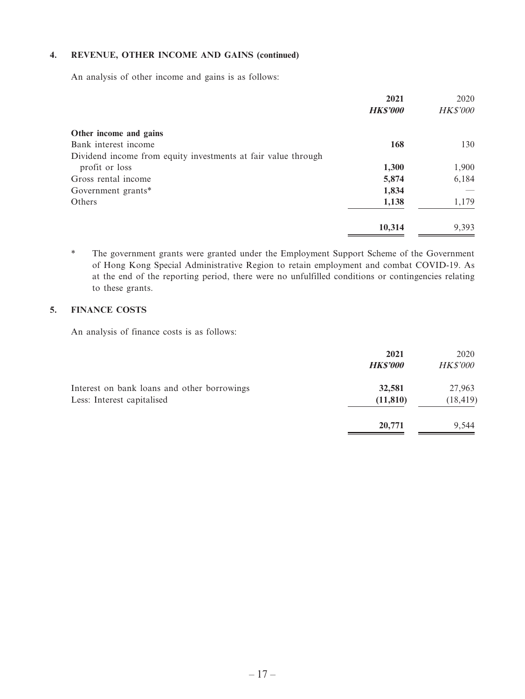#### **4. REVENUE, OTHER INCOME AND GAINS (continued)**

An analysis of other income and gains is as follows:

|                                                               | 2021<br><b>HK\$'000</b> | 2020<br><b>HK\$'000</b> |
|---------------------------------------------------------------|-------------------------|-------------------------|
|                                                               |                         |                         |
| Other income and gains                                        |                         |                         |
| Bank interest income                                          | 168                     | 130                     |
| Dividend income from equity investments at fair value through |                         |                         |
| profit or loss                                                | 1,300                   | 1,900                   |
| Gross rental income                                           | 5,874                   | 6,184                   |
| Government grants*                                            | 1,834                   |                         |
| Others                                                        | 1,138                   | 1,179                   |
|                                                               | 10,314                  | 9,393                   |

\* The government grants were granted under the Employment Support Scheme of the Government of Hong Kong Special Administrative Region to retain employment and combat COVID-19. As at the end of the reporting period, there were no unfulfilled conditions or contingencies relating to these grants.

#### **5. FINANCE COSTS**

An analysis of finance costs is as follows:

|                                                                           | 2021<br><b>HK\$'000</b> | 2020<br><b>HK\$'000</b> |
|---------------------------------------------------------------------------|-------------------------|-------------------------|
| Interest on bank loans and other borrowings<br>Less: Interest capitalised | 32,581<br>(11, 810)     | 27,963<br>(18, 419)     |
|                                                                           | 20,771                  | 9.544                   |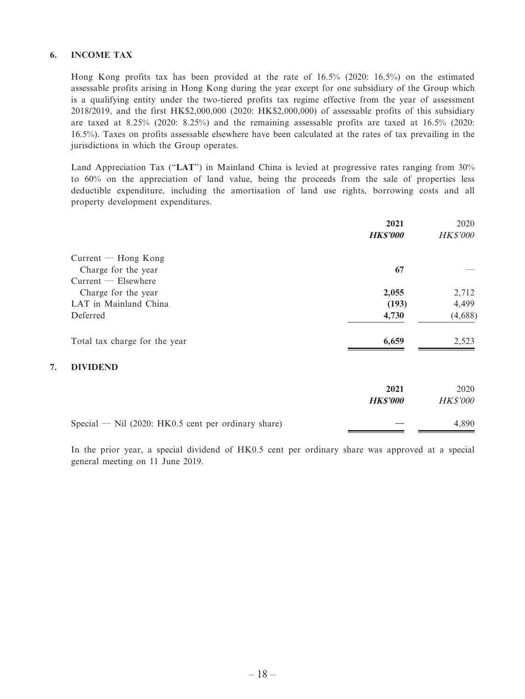#### **6. INCOME TAX**

**7. DIVIDEND**

Hong Kong profits tax has been provided at the rate of 16.5% (2020: 16.5%) on the estimated assessable profits arising in Hong Kong during the year except for one subsidiary of the Group which is a qualifying entity under the two-tiered profits tax regime effective from the year of assessment 2018/2019, and the first HK\$2,000,000 (2020: HK\$2,000,000) of assessable profits of this subsidiary are taxed at 8.25% (2020: 8.25%) and the remaining assessable profits are taxed at 16.5% (2020: 16.5%). Taxes on profits assessable elsewhere have been calculated at the rates of tax prevailing in the jurisdictions in which the Group operates.

Land Appreciation Tax ("**LAT**") in Mainland China is levied at progressive rates ranging from 30% to 60% on the appreciation of land value, being the proceeds from the sale of properties less deductible expenditure, including the amortisation of land use rights, borrowing costs and all property development expenditures.

|                               | 2021            | 2020            |
|-------------------------------|-----------------|-----------------|
|                               | <b>HK\$'000</b> | <b>HK\$'000</b> |
| $Current - Hong Kong$         |                 |                 |
| Charge for the year           | 67              |                 |
| $Current$ $-$ Elsewhere       |                 |                 |
| Charge for the year           | 2,055           | 2,712           |
| LAT in Mainland China         | (193)           | 4,499           |
| Deferred                      | 4,730           | (4,688)         |
| Total tax charge for the year | 6,659           | 2,523           |
| <b>DIVIDEND</b>               |                 |                 |
|                               | 2021            | 2020            |
|                               | <b>HKS'000</b>  | <b>HK\$'000</b> |

| Special — Nil $(2020:HK0.5$ cent per ordinary share) | 4.890 |
|------------------------------------------------------|-------|
|                                                      |       |

In the prior year, a special dividend of HK0.5 cent per ordinary share was approved at a special general meeting on 11 June 2019.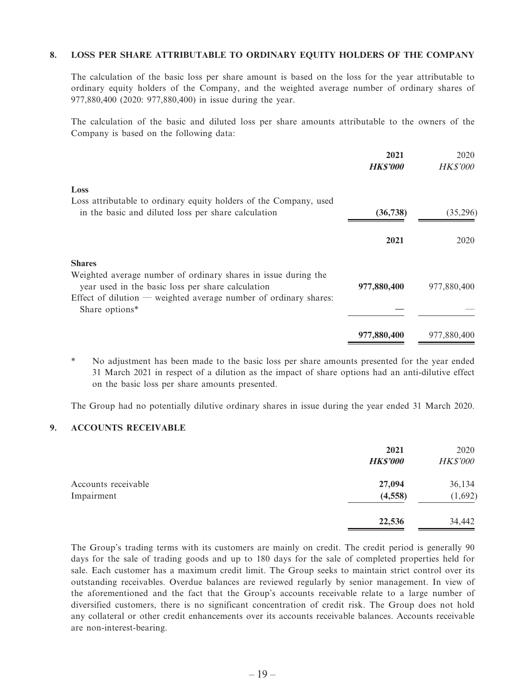#### **8. LOSS PER SHARE ATTRIBUTABLE TO ORDINARY EQUITY HOLDERS OF THE COMPANY**

The calculation of the basic loss per share amount is based on the loss for the year attributable to ordinary equity holders of the Company, and the weighted average number of ordinary shares of 977,880,400 (2020: 977,880,400) in issue during the year.

The calculation of the basic and diluted loss per share amounts attributable to the owners of the Company is based on the following data:

|                                                                                                                          | 2021<br><b>HKS'000</b> | 2020<br><b>HK\$'000</b> |
|--------------------------------------------------------------------------------------------------------------------------|------------------------|-------------------------|
| Loss                                                                                                                     |                        |                         |
| Loss attributable to ordinary equity holders of the Company, used<br>in the basic and diluted loss per share calculation | (36, 738)              | (35,296)                |
|                                                                                                                          | 2021                   | 2020                    |
| <b>Shares</b>                                                                                                            |                        |                         |
| Weighted average number of ordinary shares in issue during the<br>year used in the basic loss per share calculation      | 977,880,400            | 977,880,400             |
| Effect of dilution — weighted average number of ordinary shares:<br>Share options*                                       |                        |                         |
|                                                                                                                          | 977,880,400            | 977,880,400             |

\* No adjustment has been made to the basic loss per share amounts presented for the year ended 31 March 2021 in respect of a dilution as the impact of share options had an anti-dilutive effect on the basic loss per share amounts presented.

The Group had no potentially dilutive ordinary shares in issue during the year ended 31 March 2020.

#### **9. ACCOUNTS RECEIVABLE**

|                                   | 2021<br><b>HK\$'000</b> | 2020<br><b>HK\$'000</b> |
|-----------------------------------|-------------------------|-------------------------|
| Accounts receivable<br>Impairment | 27,094<br>(4, 558)      | 36,134<br>(1,692)       |
|                                   | 22,536                  | 34,442                  |

The Group's trading terms with its customers are mainly on credit. The credit period is generally 90 days for the sale of trading goods and up to 180 days for the sale of completed properties held for sale. Each customer has a maximum credit limit. The Group seeks to maintain strict control over its outstanding receivables. Overdue balances are reviewed regularly by senior management. In view of the aforementioned and the fact that the Group's accounts receivable relate to a large number of diversified customers, there is no significant concentration of credit risk. The Group does not hold any collateral or other credit enhancements over its accounts receivable balances. Accounts receivable are non-interest-bearing.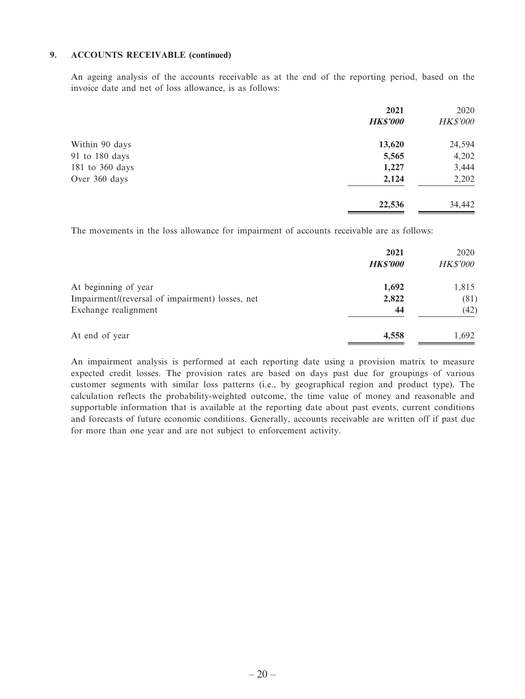#### **9. ACCOUNTS RECEIVABLE (continued)**

An ageing analysis of the accounts receivable as at the end of the reporting period, based on the invoice date and net of loss allowance, is as follows:

|                 | 2021            | 2020            |
|-----------------|-----------------|-----------------|
|                 | <b>HK\$'000</b> | <b>HK\$'000</b> |
| Within 90 days  | 13,620          | 24,594          |
| 91 to 180 days  | 5,565           | 4,202           |
| 181 to 360 days | 1,227           | 3,444           |
| Over 360 days   | 2,124           | 2,202           |
|                 | 22,536          | 34,442          |

The movements in the loss allowance for impairment of accounts receivable are as follows:

|                                                 | 2021<br><b>HK\$'000</b> | 2020<br><b>HK\$'000</b> |
|-------------------------------------------------|-------------------------|-------------------------|
| At beginning of year                            | 1,692                   | 1,815                   |
| Impairment/(reversal of impairment) losses, net | 2,822                   | (81)                    |
| Exchange realignment                            | 44                      | (42)                    |
| At end of year                                  | 4,558                   | 1,692                   |

An impairment analysis is performed at each reporting date using a provision matrix to measure expected credit losses. The provision rates are based on days past due for groupings of various customer segments with similar loss patterns (i.e., by geographical region and product type). The calculation reflects the probability-weighted outcome, the time value of money and reasonable and supportable information that is available at the reporting date about past events, current conditions and forecasts of future economic conditions. Generally, accounts receivable are written off if past due for more than one year and are not subject to enforcement activity.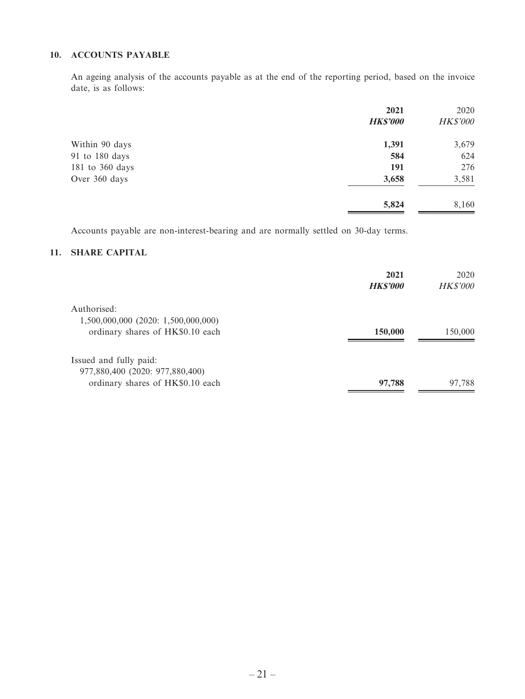#### **10. ACCOUNTS PAYABLE**

An ageing analysis of the accounts payable as at the end of the reporting period, based on the invoice date, is as follows:

|                 | 2021            | 2020     |
|-----------------|-----------------|----------|
|                 | <b>HK\$'000</b> | HK\$'000 |
| Within 90 days  | 1,391           | 3,679    |
| 91 to 180 days  | 584             | 624      |
| 181 to 360 days | 191             | 276      |
| Over 360 days   | 3,658           | 3,581    |
|                 | 5,824           | 8,160    |

Accounts payable are non-interest-bearing and are normally settled on 30-day terms.

#### **11. SHARE CAPITAL**

|                                     | 2021<br><b>HK\$'000</b> | 2020<br><b>HK\$'000</b> |
|-------------------------------------|-------------------------|-------------------------|
| Authorised:                         |                         |                         |
| 1,500,000,000 (2020: 1,500,000,000) |                         |                         |
| ordinary shares of HK\$0.10 each    | 150,000                 | 150,000                 |
| Issued and fully paid:              |                         |                         |
| 977,880,400 (2020: 977,880,400)     |                         |                         |
| ordinary shares of HK\$0.10 each    | 97,788                  | 97,788                  |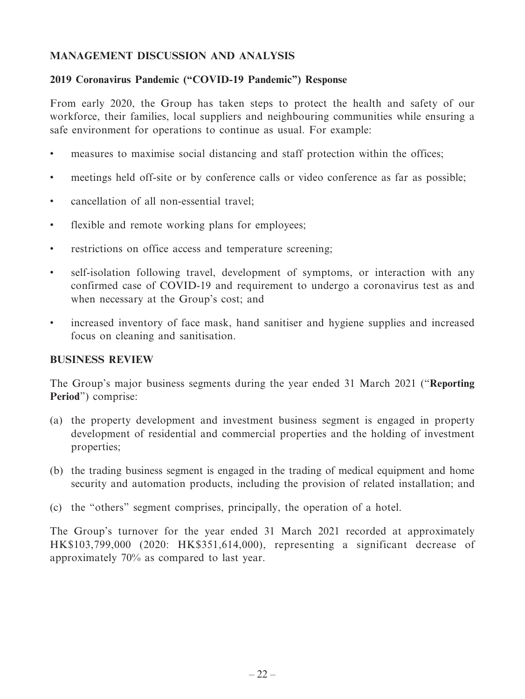## **MANAGEMENT DISCUSSION AND ANALYSIS**

## **2019 Coronavirus Pandemic ("COVID-19 Pandemic") Response**

From early 2020, the Group has taken steps to protect the health and safety of our workforce, their families, local suppliers and neighbouring communities while ensuring a safe environment for operations to continue as usual. For example:

- measures to maximise social distancing and staff protection within the offices;
- meetings held off-site or by conference calls or video conference as far as possible;
- cancellation of all non-essential travel;
- flexible and remote working plans for employees;
- restrictions on office access and temperature screening;
- self-isolation following travel, development of symptoms, or interaction with any confirmed case of COVID-19 and requirement to undergo a coronavirus test as and when necessary at the Group's cost; and
- increased inventory of face mask, hand sanitiser and hygiene supplies and increased focus on cleaning and sanitisation.

## **BUSINESS REVIEW**

The Group's major business segments during the year ended 31 March 2021 ("**Reporting Period**") comprise:

- (a) the property development and investment business segment is engaged in property development of residential and commercial properties and the holding of investment properties;
- (b) the trading business segment is engaged in the trading of medical equipment and home security and automation products, including the provision of related installation; and
- (c) the "others" segment comprises, principally, the operation of a hotel.

The Group's turnover for the year ended 31 March 2021 recorded at approximately HK\$103,799,000 (2020: HK\$351,614,000), representing a significant decrease of approximately 70% as compared to last year.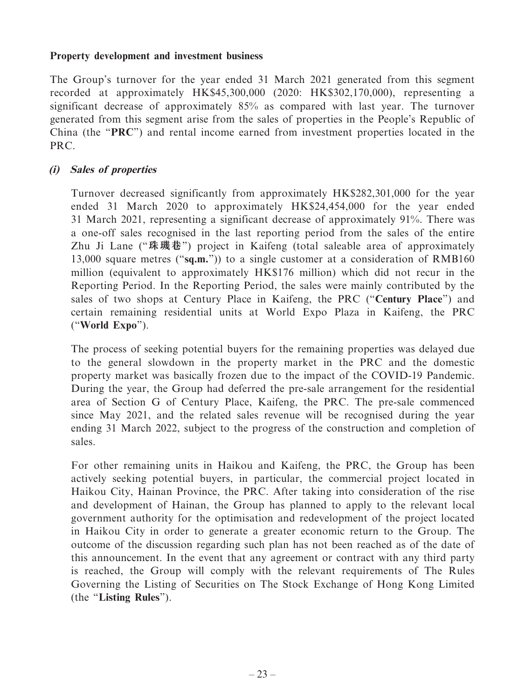#### **Property development and investment business**

The Group's turnover for the year ended 31 March 2021 generated from this segment recorded at approximately HK\$45,300,000 (2020: HK\$302,170,000), representing a significant decrease of approximately 85% as compared with last year. The turnover generated from this segment arise from the sales of properties in the People's Republic of China (the "**PRC**") and rental income earned from investment properties located in the PRC.

## **(i) Sales of properties**

Turnover decreased significantly from approximately HK\$282,301,000 for the year ended 31 March 2020 to approximately HK\$24,454,000 for the year ended 31 March 2021, representing a significant decrease of approximately 91%. There was a one-off sales recognised in the last reporting period from the sales of the entire Zhu Ji Lane ("**珠璣巷**") project in Kaifeng (total saleable area of approximately 13,000 square metres ("**sq.m.**")) to a single customer at a consideration of RMB160 million (equivalent to approximately HK\$176 million) which did not recur in the Reporting Period. In the Reporting Period, the sales were mainly contributed by the sales of two shops at Century Place in Kaifeng, the PRC ("**Century Place**") and certain remaining residential units at World Expo Plaza in Kaifeng, the PRC ("**World Expo**").

The process of seeking potential buyers for the remaining properties was delayed due to the general slowdown in the property market in the PRC and the domestic property market was basically frozen due to the impact of the COVID-19 Pandemic. During the year, the Group had deferred the pre-sale arrangement for the residential area of Section G of Century Place, Kaifeng, the PRC. The pre-sale commenced since May 2021, and the related sales revenue will be recognised during the year ending 31 March 2022, subject to the progress of the construction and completion of sales.

For other remaining units in Haikou and Kaifeng, the PRC, the Group has been actively seeking potential buyers, in particular, the commercial project located in Haikou City, Hainan Province, the PRC. After taking into consideration of the rise and development of Hainan, the Group has planned to apply to the relevant local government authority for the optimisation and redevelopment of the project located in Haikou City in order to generate a greater economic return to the Group. The outcome of the discussion regarding such plan has not been reached as of the date of this announcement. In the event that any agreement or contract with any third party is reached, the Group will comply with the relevant requirements of The Rules Governing the Listing of Securities on The Stock Exchange of Hong Kong Limited (the "**Listing Rules**").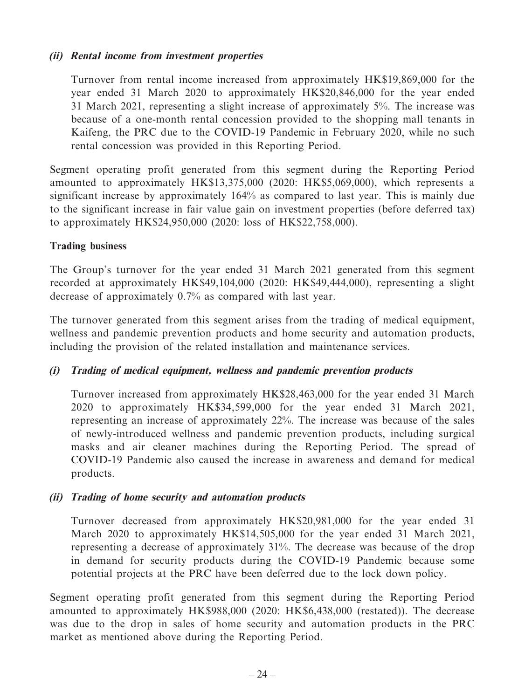## **(ii) Rental income from investment properties**

Turnover from rental income increased from approximately HK\$19,869,000 for the year ended 31 March 2020 to approximately HK\$20,846,000 for the year ended 31 March 2021, representing a slight increase of approximately 5%. The increase was because of a one-month rental concession provided to the shopping mall tenants in Kaifeng, the PRC due to the COVID-19 Pandemic in February 2020, while no such rental concession was provided in this Reporting Period.

Segment operating profit generated from this segment during the Reporting Period amounted to approximately HK\$13,375,000 (2020: HK\$5,069,000), which represents a significant increase by approximately 164% as compared to last year. This is mainly due to the significant increase in fair value gain on investment properties (before deferred tax) to approximately HK\$24,950,000 (2020: loss of HK\$22,758,000).

## **Trading business**

The Group's turnover for the year ended 31 March 2021 generated from this segment recorded at approximately HK\$49,104,000 (2020: HK\$49,444,000), representing a slight decrease of approximately 0.7% as compared with last year.

The turnover generated from this segment arises from the trading of medical equipment, wellness and pandemic prevention products and home security and automation products, including the provision of the related installation and maintenance services.

## **(i) Trading of medical equipment, wellness and pandemic prevention products**

Turnover increased from approximately HK\$28,463,000 for the year ended 31 March 2020 to approximately HK\$34,599,000 for the year ended 31 March 2021, representing an increase of approximately 22%. The increase was because of the sales of newly-introduced wellness and pandemic prevention products, including surgical masks and air cleaner machines during the Reporting Period. The spread of COVID-19 Pandemic also caused the increase in awareness and demand for medical products.

## **(ii) Trading of home security and automation products**

Turnover decreased from approximately HK\$20,981,000 for the year ended 31 March 2020 to approximately HK\$14,505,000 for the year ended 31 March 2021, representing a decrease of approximately 31%. The decrease was because of the drop in demand for security products during the COVID-19 Pandemic because some potential projects at the PRC have been deferred due to the lock down policy.

Segment operating profit generated from this segment during the Reporting Period amounted to approximately HK\$988,000 (2020: HK\$6,438,000 (restated)). The decrease was due to the drop in sales of home security and automation products in the PRC market as mentioned above during the Reporting Period.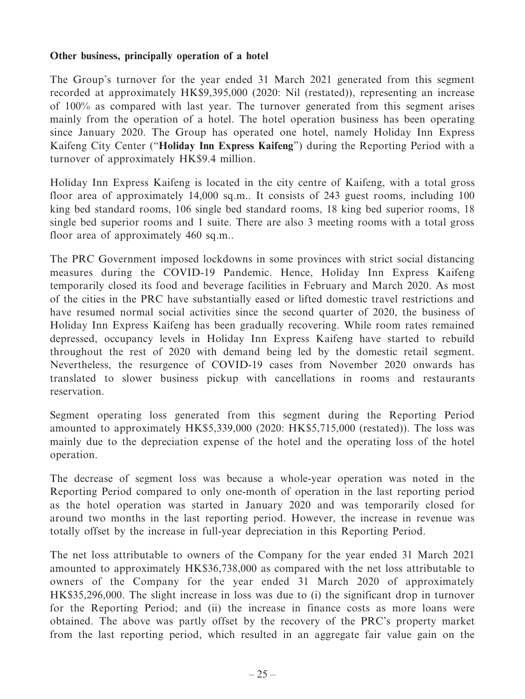#### **Other business, principally operation of a hotel**

The Group's turnover for the year ended 31 March 2021 generated from this segment recorded at approximately HK\$9,395,000 (2020: Nil (restated)), representing an increase of 100% as compared with last year. The turnover generated from this segment arises mainly from the operation of a hotel. The hotel operation business has been operating since January 2020. The Group has operated one hotel, namely Holiday Inn Express Kaifeng City Center ("**Holiday Inn Express Kaifeng**") during the Reporting Period with a turnover of approximately HK\$9.4 million.

Holiday Inn Express Kaifeng is located in the city centre of Kaifeng, with a total gross floor area of approximately 14,000 sq.m.. It consists of 243 guest rooms, including 100 king bed standard rooms, 106 single bed standard rooms, 18 king bed superior rooms, 18 single bed superior rooms and 1 suite. There are also 3 meeting rooms with a total gross floor area of approximately 460 sq.m..

The PRC Government imposed lockdowns in some provinces with strict social distancing measures during the COVID-19 Pandemic. Hence, Holiday Inn Express Kaifeng temporarily closed its food and beverage facilities in February and March 2020. As most of the cities in the PRC have substantially eased or lifted domestic travel restrictions and have resumed normal social activities since the second quarter of 2020, the business of Holiday Inn Express Kaifeng has been gradually recovering. While room rates remained depressed, occupancy levels in Holiday Inn Express Kaifeng have started to rebuild throughout the rest of 2020 with demand being led by the domestic retail segment. Nevertheless, the resurgence of COVID-19 cases from November 2020 onwards has translated to slower business pickup with cancellations in rooms and restaurants reservation.

Segment operating loss generated from this segment during the Reporting Period amounted to approximately HK\$5,339,000 (2020: HK\$5,715,000 (restated)). The loss was mainly due to the depreciation expense of the hotel and the operating loss of the hotel operation.

The decrease of segment loss was because a whole-year operation was noted in the Reporting Period compared to only one-month of operation in the last reporting period as the hotel operation was started in January 2020 and was temporarily closed for around two months in the last reporting period. However, the increase in revenue was totally offset by the increase in full-year depreciation in this Reporting Period.

The net loss attributable to owners of the Company for the year ended 31 March 2021 amounted to approximately HK\$36,738,000 as compared with the net loss attributable to owners of the Company for the year ended 31 March 2020 of approximately HK\$35,296,000. The slight increase in loss was due to (i) the significant drop in turnover for the Reporting Period; and (ii) the increase in finance costs as more loans were obtained. The above was partly offset by the recovery of the PRC's property market from the last reporting period, which resulted in an aggregate fair value gain on the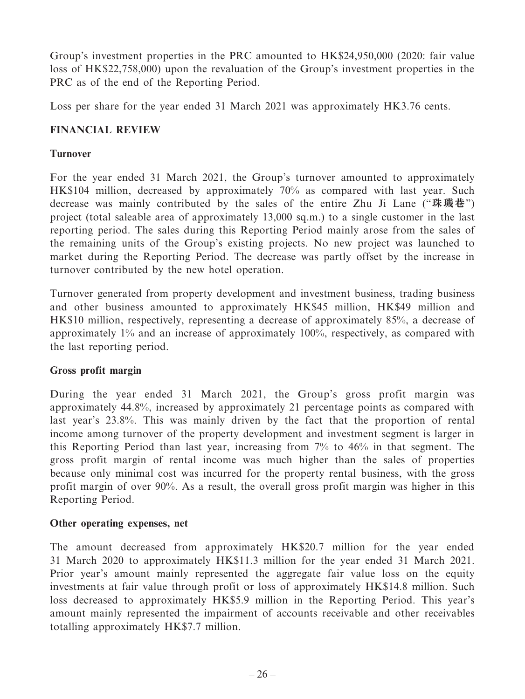Group's investment properties in the PRC amounted to HK\$24,950,000 (2020: fair value loss of HK\$22,758,000) upon the revaluation of the Group's investment properties in the PRC as of the end of the Reporting Period.

Loss per share for the year ended 31 March 2021 was approximately HK3.76 cents.

## **FINANCIAL REVIEW**

## **Turnover**

For the year ended 31 March 2021, the Group's turnover amounted to approximately HK\$104 million, decreased by approximately 70% as compared with last year. Such decrease was mainly contributed by the sales of the entire Zhu Ji Lane ("**珠璣巷**") project (total saleable area of approximately 13,000 sq.m.) to a single customer in the last reporting period. The sales during this Reporting Period mainly arose from the sales of the remaining units of the Group's existing projects. No new project was launched to market during the Reporting Period. The decrease was partly offset by the increase in turnover contributed by the new hotel operation.

Turnover generated from property development and investment business, trading business and other business amounted to approximately HK\$45 million, HK\$49 million and HK\$10 million, respectively, representing a decrease of approximately 85%, a decrease of approximately 1% and an increase of approximately 100%, respectively, as compared with the last reporting period.

## **Gross profit margin**

During the year ended 31 March 2021, the Group's gross profit margin was approximately 44.8%, increased by approximately 21 percentage points as compared with last year's 23.8%. This was mainly driven by the fact that the proportion of rental income among turnover of the property development and investment segment is larger in this Reporting Period than last year, increasing from 7% to 46% in that segment. The gross profit margin of rental income was much higher than the sales of properties because only minimal cost was incurred for the property rental business, with the gross profit margin of over 90%. As a result, the overall gross profit margin was higher in this Reporting Period.

## **Other operating expenses, net**

The amount decreased from approximately HK\$20.7 million for the year ended 31 March 2020 to approximately HK\$11.3 million for the year ended 31 March 2021. Prior year's amount mainly represented the aggregate fair value loss on the equity investments at fair value through profit or loss of approximately HK\$14.8 million. Such loss decreased to approximately HK\$5.9 million in the Reporting Period. This year's amount mainly represented the impairment of accounts receivable and other receivables totalling approximately HK\$7.7 million.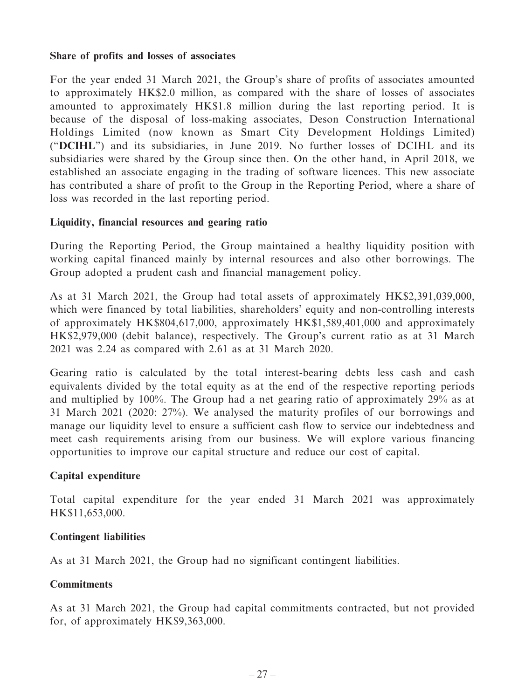#### **Share of profits and losses of associates**

For the year ended 31 March 2021, the Group's share of profits of associates amounted to approximately HK\$2.0 million, as compared with the share of losses of associates amounted to approximately HK\$1.8 million during the last reporting period. It is because of the disposal of loss-making associates, Deson Construction International Holdings Limited (now known as Smart City Development Holdings Limited) ("**DCIHL**") and its subsidiaries, in June 2019. No further losses of DCIHL and its subsidiaries were shared by the Group since then. On the other hand, in April 2018, we established an associate engaging in the trading of software licences. This new associate has contributed a share of profit to the Group in the Reporting Period, where a share of loss was recorded in the last reporting period.

#### **Liquidity, financial resources and gearing ratio**

During the Reporting Period, the Group maintained a healthy liquidity position with working capital financed mainly by internal resources and also other borrowings. The Group adopted a prudent cash and financial management policy.

As at 31 March 2021, the Group had total assets of approximately HK\$2,391,039,000, which were financed by total liabilities, shareholders' equity and non-controlling interests of approximately HK\$804,617,000, approximately HK\$1,589,401,000 and approximately HK\$2,979,000 (debit balance), respectively. The Group's current ratio as at 31 March 2021 was 2.24 as compared with 2.61 as at 31 March 2020.

Gearing ratio is calculated by the total interest-bearing debts less cash and cash equivalents divided by the total equity as at the end of the respective reporting periods and multiplied by 100%. The Group had a net gearing ratio of approximately 29% as at 31 March 2021 (2020: 27%). We analysed the maturity profiles of our borrowings and manage our liquidity level to ensure a sufficient cash flow to service our indebtedness and meet cash requirements arising from our business. We will explore various financing opportunities to improve our capital structure and reduce our cost of capital.

## **Capital expenditure**

Total capital expenditure for the year ended 31 March 2021 was approximately HK\$11,653,000.

## **Contingent liabilities**

As at 31 March 2021, the Group had no significant contingent liabilities.

#### **Commitments**

As at 31 March 2021, the Group had capital commitments contracted, but not provided for, of approximately HK\$9,363,000.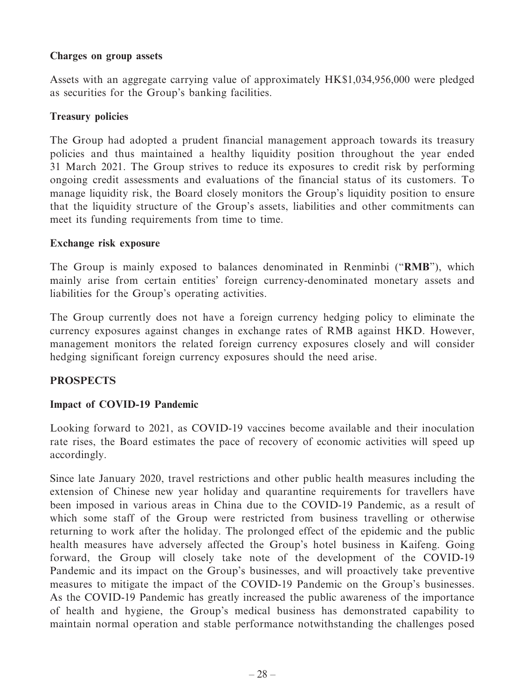#### **Charges on group assets**

Assets with an aggregate carrying value of approximately HK\$1,034,956,000 were pledged as securities for the Group's banking facilities.

#### **Treasury policies**

The Group had adopted a prudent financial management approach towards its treasury policies and thus maintained a healthy liquidity position throughout the year ended 31 March 2021. The Group strives to reduce its exposures to credit risk by performing ongoing credit assessments and evaluations of the financial status of its customers. To manage liquidity risk, the Board closely monitors the Group's liquidity position to ensure that the liquidity structure of the Group's assets, liabilities and other commitments can meet its funding requirements from time to time.

#### **Exchange risk exposure**

The Group is mainly exposed to balances denominated in Renminbi ("**RMB**"), which mainly arise from certain entities' foreign currency-denominated monetary assets and liabilities for the Group's operating activities.

The Group currently does not have a foreign currency hedging policy to eliminate the currency exposures against changes in exchange rates of RMB against HKD. However, management monitors the related foreign currency exposures closely and will consider hedging significant foreign currency exposures should the need arise.

## **PROSPECTS**

## **Impact of COVID-19 Pandemic**

Looking forward to 2021, as COVID-19 vaccines become available and their inoculation rate rises, the Board estimates the pace of recovery of economic activities will speed up accordingly.

Since late January 2020, travel restrictions and other public health measures including the extension of Chinese new year holiday and quarantine requirements for travellers have been imposed in various areas in China due to the COVID-19 Pandemic, as a result of which some staff of the Group were restricted from business travelling or otherwise returning to work after the holiday. The prolonged effect of the epidemic and the public health measures have adversely affected the Group's hotel business in Kaifeng. Going forward, the Group will closely take note of the development of the COVID-19 Pandemic and its impact on the Group's businesses, and will proactively take preventive measures to mitigate the impact of the COVID-19 Pandemic on the Group's businesses. As the COVID-19 Pandemic has greatly increased the public awareness of the importance of health and hygiene, the Group's medical business has demonstrated capability to maintain normal operation and stable performance notwithstanding the challenges posed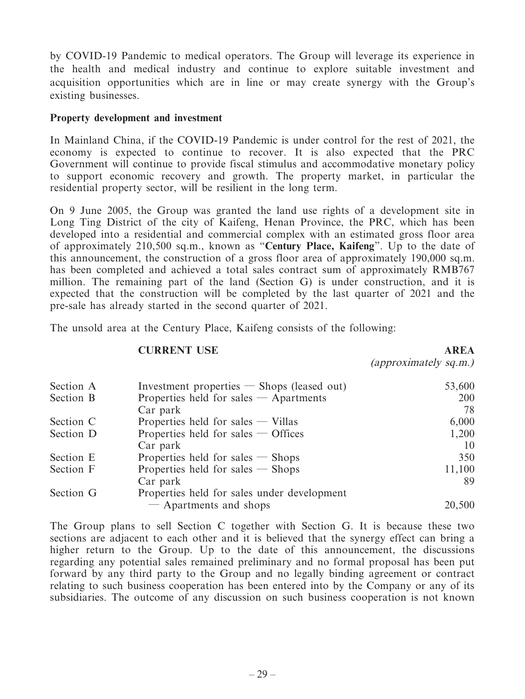by COVID-19 Pandemic to medical operators. The Group will leverage its experience in the health and medical industry and continue to explore suitable investment and acquisition opportunities which are in line or may create synergy with the Group's existing businesses.

#### **Property development and investment**

In Mainland China, if the COVID-19 Pandemic is under control for the rest of 2021, the economy is expected to continue to recover. It is also expected that the PRC Government will continue to provide fiscal stimulus and accommodative monetary policy to support economic recovery and growth. The property market, in particular the residential property sector, will be resilient in the long term.

On 9 June 2005, the Group was granted the land use rights of a development site in Long Ting District of the city of Kaifeng, Henan Province, the PRC, which has been developed into a residential and commercial complex with an estimated gross floor area of approximately 210,500 sq.m., known as "**Century Place, Kaifeng**". Up to the date of this announcement, the construction of a gross floor area of approximately 190,000 sq.m. has been completed and achieved a total sales contract sum of approximately RMB767 million. The remaining part of the land (Section G) is under construction, and it is expected that the construction will be completed by the last quarter of 2021 and the pre-sale has already started in the second quarter of 2021.

The unsold area at the Century Place, Kaifeng consists of the following:

#### **CURRENT USE AREA**

(approximately sq.m.)

| Section A | Investment properties $-$ Shops (leased out) | 53,600 |
|-----------|----------------------------------------------|--------|
| Section B | Properties held for sales $-$ Apartments     | 200    |
|           | Car park                                     | 78     |
| Section C | Properties held for sales $-$ Villas         | 6,000  |
| Section D | Properties held for sales $-$ Offices        | 1,200  |
|           | Car park                                     | 10     |
| Section E | Properties held for sales $-$ Shops          | 350    |
| Section F | Properties held for sales $-$ Shops          | 11,100 |
|           | Car park                                     | 89     |
| Section G | Properties held for sales under development  |        |
|           | - Apartments and shops                       | 20,500 |

The Group plans to sell Section C together with Section G. It is because these two sections are adjacent to each other and it is believed that the synergy effect can bring a higher return to the Group. Up to the date of this announcement, the discussions regarding any potential sales remained preliminary and no formal proposal has been put forward by any third party to the Group and no legally binding agreement or contract relating to such business cooperation has been entered into by the Company or any of its subsidiaries. The outcome of any discussion on such business cooperation is not known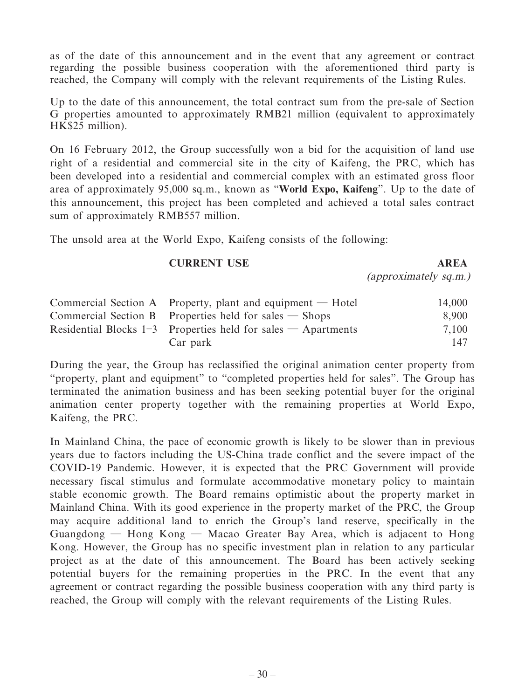as of the date of this announcement and in the event that any agreement or contract regarding the possible business cooperation with the aforementioned third party is reached, the Company will comply with the relevant requirements of the Listing Rules.

Up to the date of this announcement, the total contract sum from the pre-sale of Section G properties amounted to approximately RMB21 million (equivalent to approximately HK\$25 million).

On 16 February 2012, the Group successfully won a bid for the acquisition of land use right of a residential and commercial site in the city of Kaifeng, the PRC, which has been developed into a residential and commercial complex with an estimated gross floor area of approximately 95,000 sq.m., known as "**World Expo, Kaifeng**". Up to the date of this announcement, this project has been completed and achieved a total sales contract sum of approximately RMB557 million.

The unsold area at the World Expo, Kaifeng consists of the following:

#### **CURRENT USE AREA**

(approximately sq.m.)

| Commercial Section A Property, plant and equipment $-$ Hotel      | 14,000 |
|-------------------------------------------------------------------|--------|
| Commercial Section B Properties held for sales $-$ Shops          | 8,900  |
| Residential Blocks $1-3$ Properties held for sales $-$ Apartments | 7.100  |
| Car park                                                          | 147    |

During the year, the Group has reclassified the original animation center property from "property, plant and equipment" to "completed properties held for sales". The Group has terminated the animation business and has been seeking potential buyer for the original animation center property together with the remaining properties at World Expo, Kaifeng, the PRC.

In Mainland China, the pace of economic growth is likely to be slower than in previous years due to factors including the US-China trade conflict and the severe impact of the COVID-19 Pandemic. However, it is expected that the PRC Government will provide necessary fiscal stimulus and formulate accommodative monetary policy to maintain stable economic growth. The Board remains optimistic about the property market in Mainland China. With its good experience in the property market of the PRC, the Group may acquire additional land to enrich the Group's land reserve, specifically in the Guangdong — Hong Kong — Macao Greater Bay Area, which is adjacent to Hong Kong. However, the Group has no specific investment plan in relation to any particular project as at the date of this announcement. The Board has been actively seeking potential buyers for the remaining properties in the PRC. In the event that any agreement or contract regarding the possible business cooperation with any third party is reached, the Group will comply with the relevant requirements of the Listing Rules.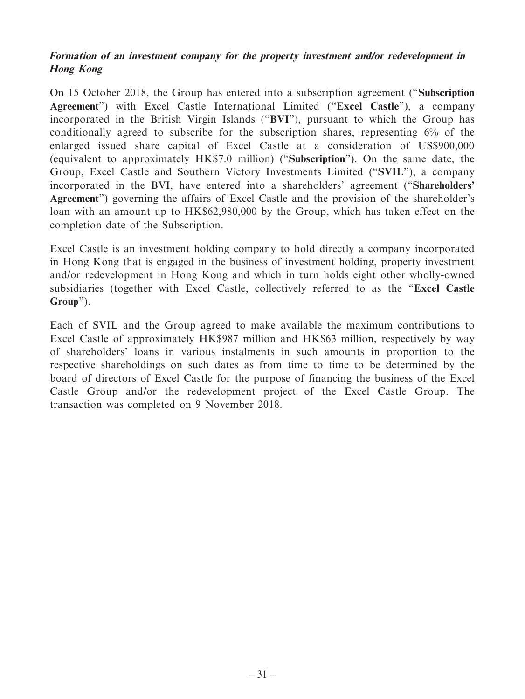## **Formation of an investment company for the property investment and/or redevelopment in Hong Kong**

On 15 October 2018, the Group has entered into a subscription agreement ("**Subscription Agreement**") with Excel Castle International Limited ("**Excel Castle**"), a company incorporated in the British Virgin Islands ("**BVI**"), pursuant to which the Group has conditionally agreed to subscribe for the subscription shares, representing 6% of the enlarged issued share capital of Excel Castle at a consideration of US\$900,000 (equivalent to approximately HK\$7.0 million) ("**Subscription**"). On the same date, the Group, Excel Castle and Southern Victory Investments Limited ("**SVIL**"), a company incorporated in the BVI, have entered into a shareholders' agreement ("**Shareholders' Agreement**") governing the affairs of Excel Castle and the provision of the shareholder's loan with an amount up to HK\$62,980,000 by the Group, which has taken effect on the completion date of the Subscription.

Excel Castle is an investment holding company to hold directly a company incorporated in Hong Kong that is engaged in the business of investment holding, property investment and/or redevelopment in Hong Kong and which in turn holds eight other wholly-owned subsidiaries (together with Excel Castle, collectively referred to as the "**Excel Castle Group**").

Each of SVIL and the Group agreed to make available the maximum contributions to Excel Castle of approximately HK\$987 million and HK\$63 million, respectively by way of shareholders' loans in various instalments in such amounts in proportion to the respective shareholdings on such dates as from time to time to be determined by the board of directors of Excel Castle for the purpose of financing the business of the Excel Castle Group and/or the redevelopment project of the Excel Castle Group. The transaction was completed on 9 November 2018.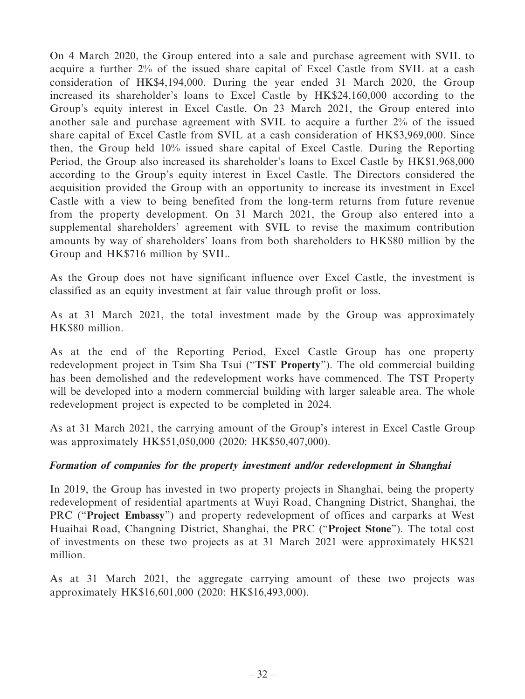On 4 March 2020, the Group entered into a sale and purchase agreement with SVIL to acquire a further 2% of the issued share capital of Excel Castle from SVIL at a cash consideration of HK\$4,194,000. During the year ended 31 March 2020, the Group increased its shareholder's loans to Excel Castle by HK\$24,160,000 according to the Group's equity interest in Excel Castle. On 23 March 2021, the Group entered into another sale and purchase agreement with SVIL to acquire a further 2% of the issued share capital of Excel Castle from SVIL at a cash consideration of HK\$3,969,000. Since then, the Group held 10% issued share capital of Excel Castle. During the Reporting Period, the Group also increased its shareholder's loans to Excel Castle by HK\$1,968,000 according to the Group's equity interest in Excel Castle. The Directors considered the acquisition provided the Group with an opportunity to increase its investment in Excel Castle with a view to being benefited from the long-term returns from future revenue from the property development. On 31 March 2021, the Group also entered into a supplemental shareholders' agreement with SVIL to revise the maximum contribution amounts by way of shareholders' loans from both shareholders to HK\$80 million by the Group and HK\$716 million by SVIL.

As the Group does not have significant influence over Excel Castle, the investment is classified as an equity investment at fair value through profit or loss.

As at 31 March 2021, the total investment made by the Group was approximately HK\$80 million.

As at the end of the Reporting Period, Excel Castle Group has one property redevelopment project in Tsim Sha Tsui ("**TST Property**"). The old commercial building has been demolished and the redevelopment works have commenced. The TST Property will be developed into a modern commercial building with larger saleable area. The whole redevelopment project is expected to be completed in 2024.

As at 31 March 2021, the carrying amount of the Group's interest in Excel Castle Group was approximately HK\$51,050,000 (2020: HK\$50,407,000).

## **Formation of companies for the property investment and/or redevelopment in Shanghai**

In 2019, the Group has invested in two property projects in Shanghai, being the property redevelopment of residential apartments at Wuyi Road, Changning District, Shanghai, the PRC ("**Project Embassy**") and property redevelopment of offices and carparks at West Huaihai Road, Changning District, Shanghai, the PRC ("**Project Stone**"). The total cost of investments on these two projects as at 31 March 2021 were approximately HK\$21 million.

As at 31 March 2021, the aggregate carrying amount of these two projects was approximately HK\$16,601,000 (2020: HK\$16,493,000).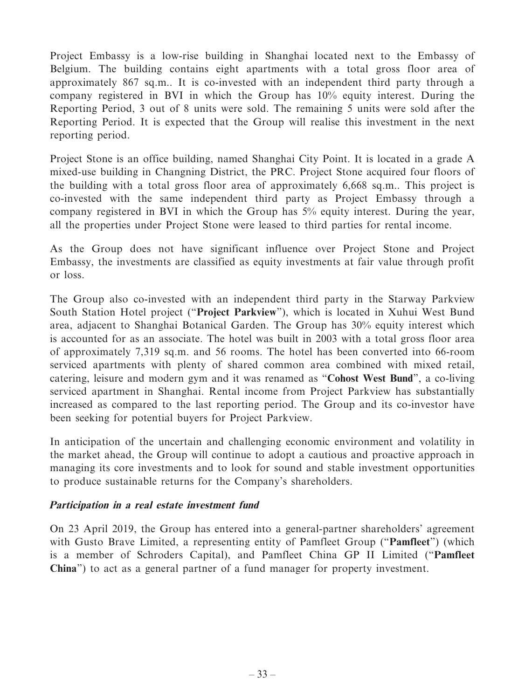Project Embassy is a low-rise building in Shanghai located next to the Embassy of Belgium. The building contains eight apartments with a total gross floor area of approximately 867 sq.m.. It is co-invested with an independent third party through a company registered in BVI in which the Group has 10% equity interest. During the Reporting Period, 3 out of 8 units were sold. The remaining 5 units were sold after the Reporting Period. It is expected that the Group will realise this investment in the next reporting period.

Project Stone is an office building, named Shanghai City Point. It is located in a grade A mixed-use building in Changning District, the PRC. Project Stone acquired four floors of the building with a total gross floor area of approximately 6,668 sq.m.. This project is co-invested with the same independent third party as Project Embassy through a company registered in BVI in which the Group has 5% equity interest. During the year, all the properties under Project Stone were leased to third parties for rental income.

As the Group does not have significant influence over Project Stone and Project Embassy, the investments are classified as equity investments at fair value through profit or loss.

The Group also co-invested with an independent third party in the Starway Parkview South Station Hotel project ("**Project Parkview**"), which is located in Xuhui West Bund area, adjacent to Shanghai Botanical Garden. The Group has 30% equity interest which is accounted for as an associate. The hotel was built in 2003 with a total gross floor area of approximately 7,319 sq.m. and 56 rooms. The hotel has been converted into 66-room serviced apartments with plenty of shared common area combined with mixed retail, catering, leisure and modern gym and it was renamed as "**Cohost West Bund**", a co-living serviced apartment in Shanghai. Rental income from Project Parkview has substantially increased as compared to the last reporting period. The Group and its co-investor have been seeking for potential buyers for Project Parkview.

In anticipation of the uncertain and challenging economic environment and volatility in the market ahead, the Group will continue to adopt a cautious and proactive approach in managing its core investments and to look for sound and stable investment opportunities to produce sustainable returns for the Company's shareholders.

## **Participation in a real estate investment fund**

On 23 April 2019, the Group has entered into a general-partner shareholders' agreement with Gusto Brave Limited, a representing entity of Pamfleet Group ("**Pamfleet**") (which is a member of Schroders Capital), and Pamfleet China GP II Limited ("**Pamfleet China**") to act as a general partner of a fund manager for property investment.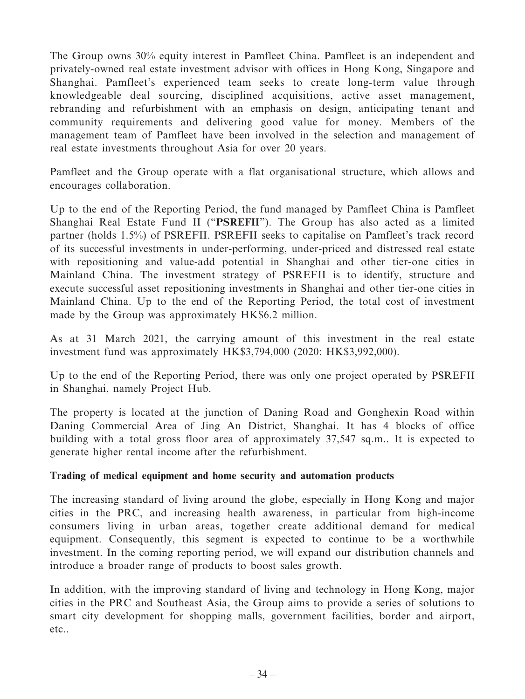The Group owns 30% equity interest in Pamfleet China. Pamfleet is an independent and privately-owned real estate investment advisor with offices in Hong Kong, Singapore and Shanghai. Pamfleet's experienced team seeks to create long-term value through knowledgeable deal sourcing, disciplined acquisitions, active asset management, rebranding and refurbishment with an emphasis on design, anticipating tenant and community requirements and delivering good value for money. Members of the management team of Pamfleet have been involved in the selection and management of real estate investments throughout Asia for over 20 years.

Pamfleet and the Group operate with a flat organisational structure, which allows and encourages collaboration.

Up to the end of the Reporting Period, the fund managed by Pamfleet China is Pamfleet Shanghai Real Estate Fund II ("**PSREFII**"). The Group has also acted as a limited partner (holds 1.5%) of PSREFII. PSREFII seeks to capitalise on Pamfleet's track record of its successful investments in under-performing, under-priced and distressed real estate with repositioning and value-add potential in Shanghai and other tier-one cities in Mainland China. The investment strategy of PSREFII is to identify, structure and execute successful asset repositioning investments in Shanghai and other tier-one cities in Mainland China. Up to the end of the Reporting Period, the total cost of investment made by the Group was approximately HK\$6.2 million.

As at 31 March 2021, the carrying amount of this investment in the real estate investment fund was approximately HK\$3,794,000 (2020: HK\$3,992,000).

Up to the end of the Reporting Period, there was only one project operated by PSREFII in Shanghai, namely Project Hub.

The property is located at the junction of Daning Road and Gonghexin Road within Daning Commercial Area of Jing An District, Shanghai. It has 4 blocks of office building with a total gross floor area of approximately 37,547 sq.m.. It is expected to generate higher rental income after the refurbishment.

## **Trading of medical equipment and home security and automation products**

The increasing standard of living around the globe, especially in Hong Kong and major cities in the PRC, and increasing health awareness, in particular from high-income consumers living in urban areas, together create additional demand for medical equipment. Consequently, this segment is expected to continue to be a worthwhile investment. In the coming reporting period, we will expand our distribution channels and introduce a broader range of products to boost sales growth.

In addition, with the improving standard of living and technology in Hong Kong, major cities in the PRC and Southeast Asia, the Group aims to provide a series of solutions to smart city development for shopping malls, government facilities, border and airport, etc..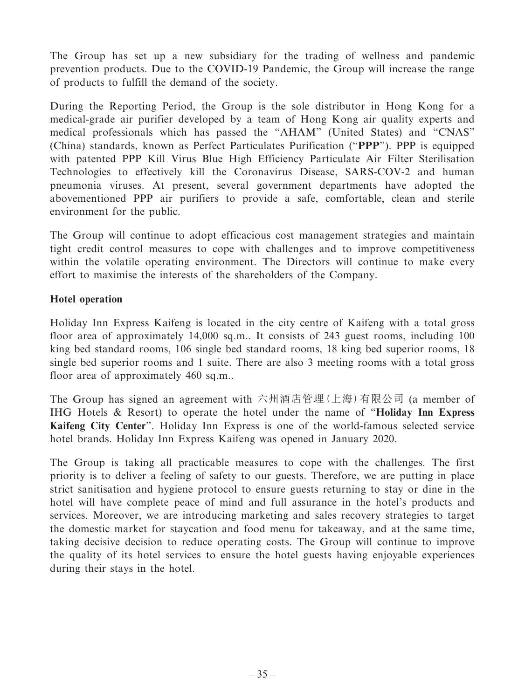The Group has set up a new subsidiary for the trading of wellness and pandemic prevention products. Due to the COVID-19 Pandemic, the Group will increase the range of products to fulfill the demand of the society.

During the Reporting Period, the Group is the sole distributor in Hong Kong for a medical-grade air purifier developed by a team of Hong Kong air quality experts and medical professionals which has passed the "AHAM" (United States) and "CNAS" (China) standards, known as Perfect Particulates Purification ("**PPP**"). PPP is equipped with patented PPP Kill Virus Blue High Efficiency Particulate Air Filter Sterilisation Technologies to effectively kill the Coronavirus Disease, SARS-COV-2 and human pneumonia viruses. At present, several government departments have adopted the abovementioned PPP air purifiers to provide a safe, comfortable, clean and sterile environment for the public.

The Group will continue to adopt efficacious cost management strategies and maintain tight credit control measures to cope with challenges and to improve competitiveness within the volatile operating environment. The Directors will continue to make every effort to maximise the interests of the shareholders of the Company.

## **Hotel operation**

Holiday Inn Express Kaifeng is located in the city centre of Kaifeng with a total gross floor area of approximately 14,000 sq.m.. It consists of 243 guest rooms, including 100 king bed standard rooms, 106 single bed standard rooms, 18 king bed superior rooms, 18 single bed superior rooms and 1 suite. There are also 3 meeting rooms with a total gross floor area of approximately 460 sq.m..

The Group has signed an agreement with 六州酒店管理(上海)有限公司 (a member of IHG Hotels & Resort) to operate the hotel under the name of "**Holiday Inn Express Kaifeng City Center**". Holiday Inn Express is one of the world-famous selected service hotel brands. Holiday Inn Express Kaifeng was opened in January 2020.

The Group is taking all practicable measures to cope with the challenges. The first priority is to deliver a feeling of safety to our guests. Therefore, we are putting in place strict sanitisation and hygiene protocol to ensure guests returning to stay or dine in the hotel will have complete peace of mind and full assurance in the hotel's products and services. Moreover, we are introducing marketing and sales recovery strategies to target the domestic market for staycation and food menu for takeaway, and at the same time, taking decisive decision to reduce operating costs. The Group will continue to improve the quality of its hotel services to ensure the hotel guests having enjoyable experiences during their stays in the hotel.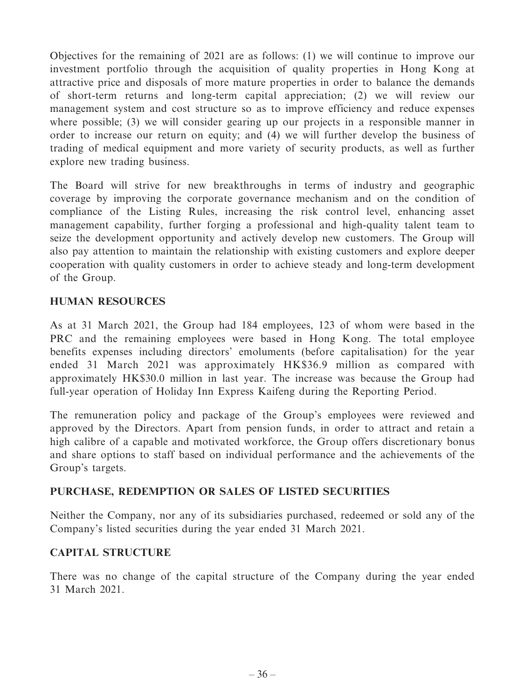Objectives for the remaining of 2021 are as follows: (1) we will continue to improve our investment portfolio through the acquisition of quality properties in Hong Kong at attractive price and disposals of more mature properties in order to balance the demands of short-term returns and long-term capital appreciation; (2) we will review our management system and cost structure so as to improve efficiency and reduce expenses where possible; (3) we will consider gearing up our projects in a responsible manner in order to increase our return on equity; and (4) we will further develop the business of trading of medical equipment and more variety of security products, as well as further explore new trading business.

The Board will strive for new breakthroughs in terms of industry and geographic coverage by improving the corporate governance mechanism and on the condition of compliance of the Listing Rules, increasing the risk control level, enhancing asset management capability, further forging a professional and high-quality talent team to seize the development opportunity and actively develop new customers. The Group will also pay attention to maintain the relationship with existing customers and explore deeper cooperation with quality customers in order to achieve steady and long-term development of the Group.

## **HUMAN RESOURCES**

As at 31 March 2021, the Group had 184 employees, 123 of whom were based in the PRC and the remaining employees were based in Hong Kong. The total employee benefits expenses including directors' emoluments (before capitalisation) for the year ended 31 March 2021 was approximately HK\$36.9 million as compared with approximately HK\$30.0 million in last year. The increase was because the Group had full-year operation of Holiday Inn Express Kaifeng during the Reporting Period.

The remuneration policy and package of the Group's employees were reviewed and approved by the Directors. Apart from pension funds, in order to attract and retain a high calibre of a capable and motivated workforce, the Group offers discretionary bonus and share options to staff based on individual performance and the achievements of the Group's targets.

## **PURCHASE, REDEMPTION OR SALES OF LISTED SECURITIES**

Neither the Company, nor any of its subsidiaries purchased, redeemed or sold any of the Company's listed securities during the year ended 31 March 2021.

## **CAPITAL STRUCTURE**

There was no change of the capital structure of the Company during the year ended 31 March 2021.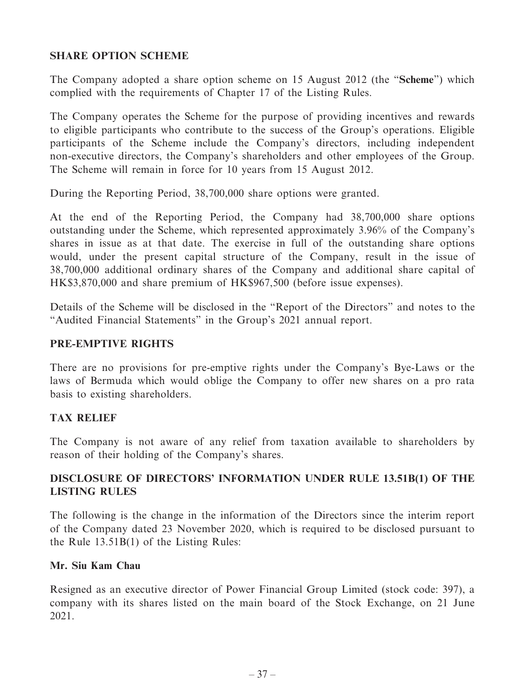## **SHARE OPTION SCHEME**

The Company adopted a share option scheme on 15 August 2012 (the "**Scheme**") which complied with the requirements of Chapter 17 of the Listing Rules.

The Company operates the Scheme for the purpose of providing incentives and rewards to eligible participants who contribute to the success of the Group's operations. Eligible participants of the Scheme include the Company's directors, including independent non-executive directors, the Company's shareholders and other employees of the Group. The Scheme will remain in force for 10 years from 15 August 2012.

During the Reporting Period, 38,700,000 share options were granted.

At the end of the Reporting Period, the Company had 38,700,000 share options outstanding under the Scheme, which represented approximately 3.96% of the Company's shares in issue as at that date. The exercise in full of the outstanding share options would, under the present capital structure of the Company, result in the issue of 38,700,000 additional ordinary shares of the Company and additional share capital of HK\$3,870,000 and share premium of HK\$967,500 (before issue expenses).

Details of the Scheme will be disclosed in the "Report of the Directors" and notes to the "Audited Financial Statements" in the Group's 2021 annual report.

#### **PRE-EMPTIVE RIGHTS**

There are no provisions for pre-emptive rights under the Company's Bye-Laws or the laws of Bermuda which would oblige the Company to offer new shares on a pro rata basis to existing shareholders.

## **TAX RELIEF**

The Company is not aware of any relief from taxation available to shareholders by reason of their holding of the Company's shares.

## **DISCLOSURE OF DIRECTORS' INFORMATION UNDER RULE 13.51B(1) OF THE LISTING RULES**

The following is the change in the information of the Directors since the interim report of the Company dated 23 November 2020, which is required to be disclosed pursuant to the Rule 13.51B(1) of the Listing Rules:

#### **Mr. Siu Kam Chau**

Resigned as an executive director of Power Financial Group Limited (stock code: 397), a company with its shares listed on the main board of the Stock Exchange, on 21 June 2021.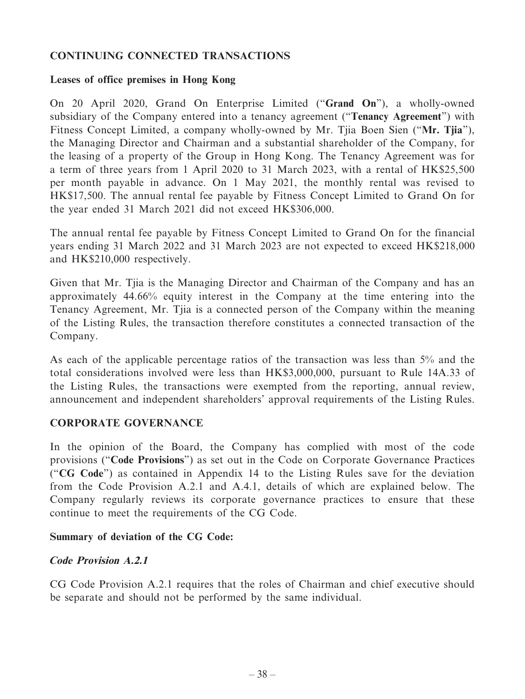## **CONTINUING CONNECTED TRANSACTIONS**

#### **Leases of office premises in Hong Kong**

On 20 April 2020, Grand On Enterprise Limited ("**Grand On**"), a wholly-owned subsidiary of the Company entered into a tenancy agreement ("**Tenancy Agreement**") with Fitness Concept Limited, a company wholly-owned by Mr. Tjia Boen Sien ("**Mr. Tjia**"), the Managing Director and Chairman and a substantial shareholder of the Company, for the leasing of a property of the Group in Hong Kong. The Tenancy Agreement was for a term of three years from 1 April 2020 to 31 March 2023, with a rental of HK\$25,500 per month payable in advance. On 1 May 2021, the monthly rental was revised to HK\$17,500. The annual rental fee payable by Fitness Concept Limited to Grand On for the year ended 31 March 2021 did not exceed HK\$306,000.

The annual rental fee payable by Fitness Concept Limited to Grand On for the financial years ending 31 March 2022 and 31 March 2023 are not expected to exceed HK\$218,000 and HK\$210,000 respectively.

Given that Mr. Tjia is the Managing Director and Chairman of the Company and has an approximately 44.66% equity interest in the Company at the time entering into the Tenancy Agreement, Mr. Tjia is a connected person of the Company within the meaning of the Listing Rules, the transaction therefore constitutes a connected transaction of the Company.

As each of the applicable percentage ratios of the transaction was less than 5% and the total considerations involved were less than HK\$3,000,000, pursuant to Rule 14A.33 of the Listing Rules, the transactions were exempted from the reporting, annual review, announcement and independent shareholders' approval requirements of the Listing Rules.

## **CORPORATE GOVERNANCE**

In the opinion of the Board, the Company has complied with most of the code provisions ("**Code Provisions**") as set out in the Code on Corporate Governance Practices ("**CG Code**") as contained in Appendix 14 to the Listing Rules save for the deviation from the Code Provision A.2.1 and A.4.1, details of which are explained below. The Company regularly reviews its corporate governance practices to ensure that these continue to meet the requirements of the CG Code.

## **Summary of deviation of the CG Code:**

## **Code Provision A.2.1**

CG Code Provision A.2.1 requires that the roles of Chairman and chief executive should be separate and should not be performed by the same individual.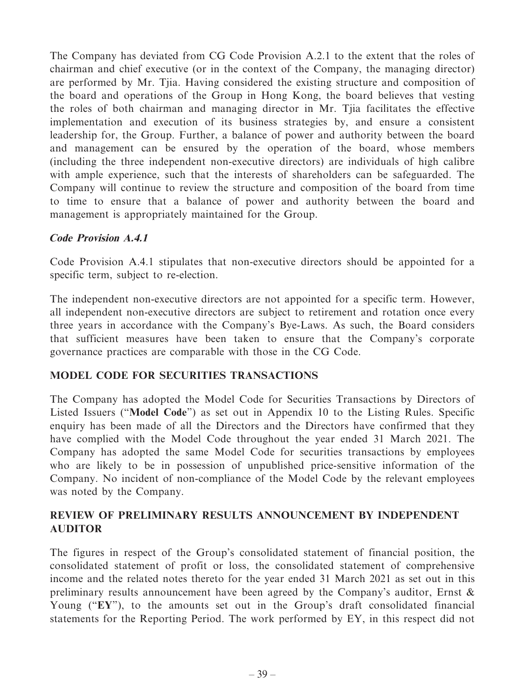The Company has deviated from CG Code Provision A.2.1 to the extent that the roles of chairman and chief executive (or in the context of the Company, the managing director) are performed by Mr. Tjia. Having considered the existing structure and composition of the board and operations of the Group in Hong Kong, the board believes that vesting the roles of both chairman and managing director in Mr. Tjia facilitates the effective implementation and execution of its business strategies by, and ensure a consistent leadership for, the Group. Further, a balance of power and authority between the board and management can be ensured by the operation of the board, whose members (including the three independent non-executive directors) are individuals of high calibre with ample experience, such that the interests of shareholders can be safeguarded. The Company will continue to review the structure and composition of the board from time to time to ensure that a balance of power and authority between the board and management is appropriately maintained for the Group.

## **Code Provision A.4.1**

Code Provision A.4.1 stipulates that non-executive directors should be appointed for a specific term, subject to re-election.

The independent non-executive directors are not appointed for a specific term. However, all independent non-executive directors are subject to retirement and rotation once every three years in accordance with the Company's Bye-Laws. As such, the Board considers that sufficient measures have been taken to ensure that the Company's corporate governance practices are comparable with those in the CG Code.

## **MODEL CODE FOR SECURITIES TRANSACTIONS**

The Company has adopted the Model Code for Securities Transactions by Directors of Listed Issuers ("**Model Code**") as set out in Appendix 10 to the Listing Rules. Specific enquiry has been made of all the Directors and the Directors have confirmed that they have complied with the Model Code throughout the year ended 31 March 2021. The Company has adopted the same Model Code for securities transactions by employees who are likely to be in possession of unpublished price-sensitive information of the Company. No incident of non-compliance of the Model Code by the relevant employees was noted by the Company.

## **REVIEW OF PRELIMINARY RESULTS ANNOUNCEMENT BY INDEPENDENT AUDITOR**

The figures in respect of the Group's consolidated statement of financial position, the consolidated statement of profit or loss, the consolidated statement of comprehensive income and the related notes thereto for the year ended 31 March 2021 as set out in this preliminary results announcement have been agreed by the Company's auditor, Ernst & Young ("**EY**"), to the amounts set out in the Group's draft consolidated financial statements for the Reporting Period. The work performed by EY, in this respect did not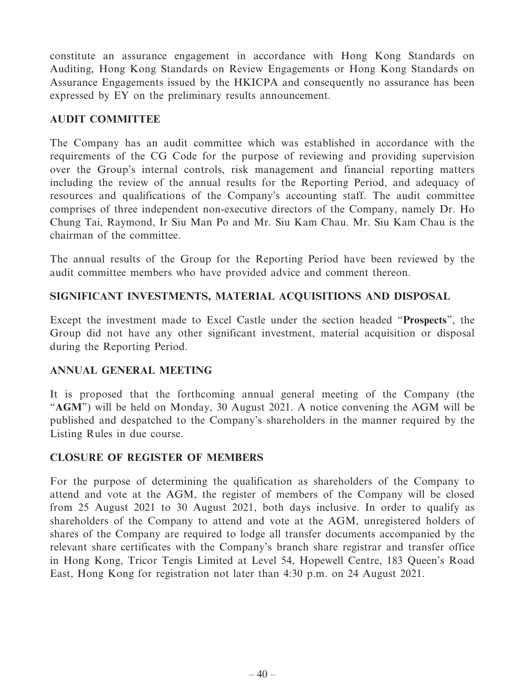constitute an assurance engagement in accordance with Hong Kong Standards on Auditing, Hong Kong Standards on Review Engagements or Hong Kong Standards on Assurance Engagements issued by the HKICPA and consequently no assurance has been expressed by EY on the preliminary results announcement.

#### **AUDIT COMMITTEE**

The Company has an audit committee which was established in accordance with the requirements of the CG Code for the purpose of reviewing and providing supervision over the Group's internal controls, risk management and financial reporting matters including the review of the annual results for the Reporting Period, and adequacy of resources and qualifications of the Company's accounting staff. The audit committee comprises of three independent non-executive directors of the Company, namely Dr. Ho Chung Tai, Raymond, Ir Siu Man Po and Mr. Siu Kam Chau. Mr. Siu Kam Chau is the chairman of the committee.

The annual results of the Group for the Reporting Period have been reviewed by the audit committee members who have provided advice and comment thereon.

## **SIGNIFICANT INVESTMENTS, MATERIAL ACQUISITIONS AND DISPOSAL**

Except the investment made to Excel Castle under the section headed "**Prospects**", the Group did not have any other significant investment, material acquisition or disposal during the Reporting Period.

## **ANNUAL GENERAL MEETING**

It is proposed that the forthcoming annual general meeting of the Company (the "**AGM**") will be held on Monday, 30 August 2021. A notice convening the AGM will be published and despatched to the Company's shareholders in the manner required by the Listing Rules in due course.

## **CLOSURE OF REGISTER OF MEMBERS**

For the purpose of determining the qualification as shareholders of the Company to attend and vote at the AGM, the register of members of the Company will be closed from 25 August 2021 to 30 August 2021, both days inclusive. In order to qualify as shareholders of the Company to attend and vote at the AGM, unregistered holders of shares of the Company are required to lodge all transfer documents accompanied by the relevant share certificates with the Company's branch share registrar and transfer office in Hong Kong, Tricor Tengis Limited at Level 54, Hopewell Centre, 183 Queen's Road East, Hong Kong for registration not later than 4:30 p.m. on 24 August 2021.